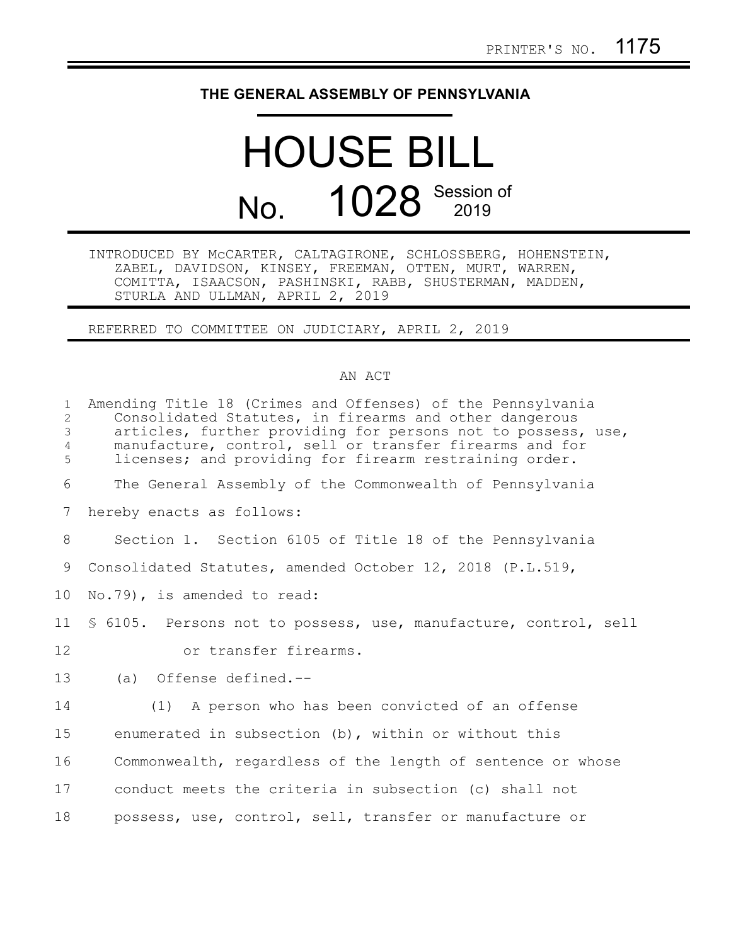## **THE GENERAL ASSEMBLY OF PENNSYLVANIA**

## HOUSE BILL No. 1028 Session of

INTRODUCED BY McCARTER, CALTAGIRONE, SCHLOSSBERG, HOHENSTEIN, ZABEL, DAVIDSON, KINSEY, FREEMAN, OTTEN, MURT, WARREN, COMITTA, ISAACSON, PASHINSKI, RABB, SHUSTERMAN, MADDEN, STURLA AND ULLMAN, APRIL 2, 2019

REFERRED TO COMMITTEE ON JUDICIARY, APRIL 2, 2019

## AN ACT

| $\mathbf{1}$<br>2<br>3<br>4<br>5 | Amending Title 18 (Crimes and Offenses) of the Pennsylvania<br>Consolidated Statutes, in firearms and other dangerous<br>articles, further providing for persons not to possess, use,<br>manufacture, control, sell or transfer firearms and for<br>licenses; and providing for firearm restraining order. |
|----------------------------------|------------------------------------------------------------------------------------------------------------------------------------------------------------------------------------------------------------------------------------------------------------------------------------------------------------|
| 6                                | The General Assembly of the Commonwealth of Pennsylvania                                                                                                                                                                                                                                                   |
| 7                                | hereby enacts as follows:                                                                                                                                                                                                                                                                                  |
| 8                                | Section 1. Section 6105 of Title 18 of the Pennsylvania                                                                                                                                                                                                                                                    |
| 9                                | Consolidated Statutes, amended October 12, 2018 (P.L.519,                                                                                                                                                                                                                                                  |
| 10 <sub>o</sub>                  | No.79), is amended to read:                                                                                                                                                                                                                                                                                |
| 11                               | \$ 6105. Persons not to possess, use, manufacture, control, sell                                                                                                                                                                                                                                           |
| 12                               | or transfer firearms.                                                                                                                                                                                                                                                                                      |
| 13                               | (a) Offense defined.--                                                                                                                                                                                                                                                                                     |
| 14                               | (1) A person who has been convicted of an offense                                                                                                                                                                                                                                                          |
| 15                               | enumerated in subsection $(b)$ , within or without this                                                                                                                                                                                                                                                    |
| 16                               | Commonwealth, regardless of the length of sentence or whose                                                                                                                                                                                                                                                |
| 17                               | conduct meets the criteria in subsection (c) shall not                                                                                                                                                                                                                                                     |
| 18                               | possess, use, control, sell, transfer or manufacture or                                                                                                                                                                                                                                                    |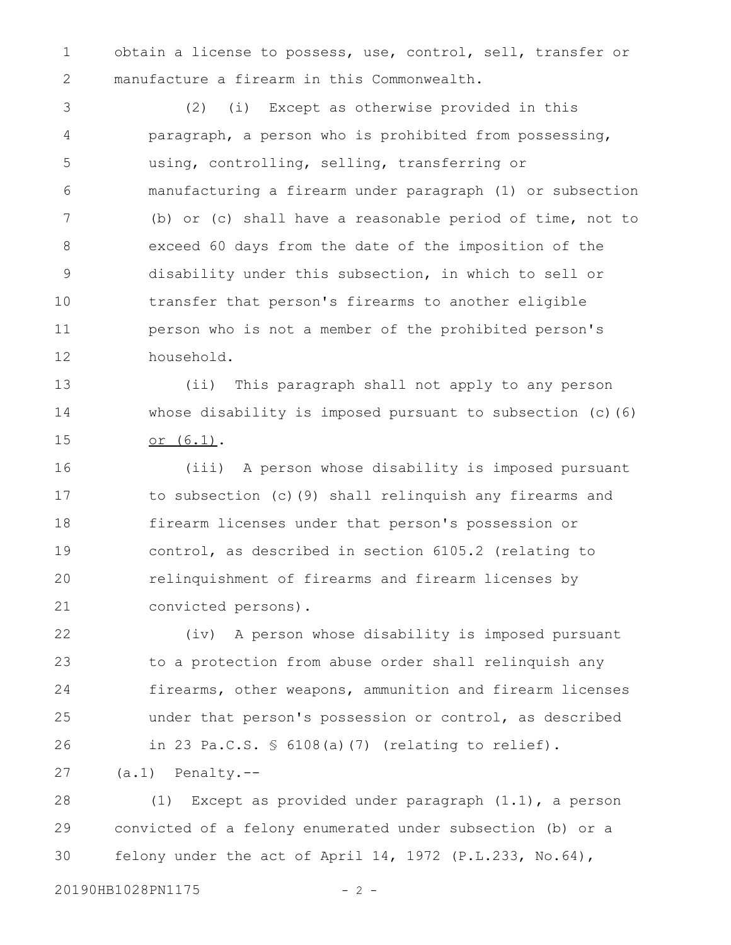obtain a license to possess, use, control, sell, transfer or manufacture a firearm in this Commonwealth. 1 2

(2) (i) Except as otherwise provided in this paragraph, a person who is prohibited from possessing, using, controlling, selling, transferring or manufacturing a firearm under paragraph (1) or subsection (b) or (c) shall have a reasonable period of time, not to exceed 60 days from the date of the imposition of the disability under this subsection, in which to sell or transfer that person's firearms to another eligible person who is not a member of the prohibited person's household. 3 4 5 6 7 8 9 10 11 12

(ii) This paragraph shall not apply to any person whose disability is imposed pursuant to subsection (c)(6) or (6.1). 13 14 15

(iii) A person whose disability is imposed pursuant to subsection (c)(9) shall relinquish any firearms and firearm licenses under that person's possession or control, as described in section 6105.2 (relating to relinquishment of firearms and firearm licenses by convicted persons). 16 17 18 19 20 21

(iv) A person whose disability is imposed pursuant to a protection from abuse order shall relinquish any firearms, other weapons, ammunition and firearm licenses under that person's possession or control, as described in 23 Pa.C.S. § 6108(a)(7) (relating to relief). 22 23 24 25 26

(a.1) Penalty.-- 27

(1) Except as provided under paragraph (1.1), a person convicted of a felony enumerated under subsection (b) or a felony under the act of April 14, 1972 (P.L.233, No.64), 28 29 30

20190HB1028PN1175 - 2 -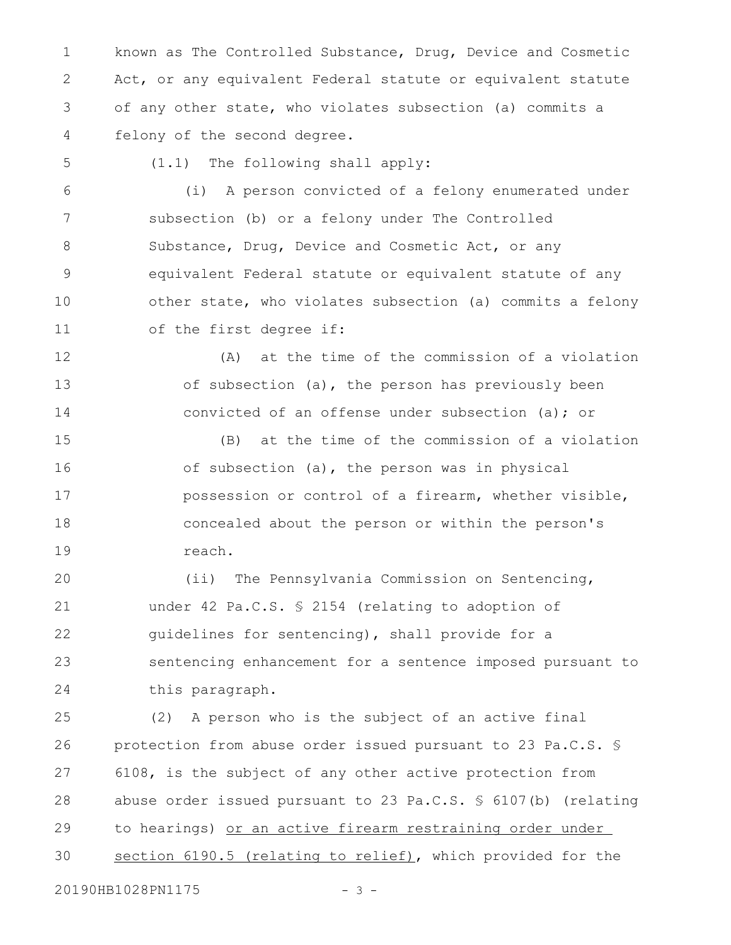known as The Controlled Substance, Drug, Device and Cosmetic Act, or any equivalent Federal statute or equivalent statute of any other state, who violates subsection (a) commits a felony of the second degree. 1 2 3 4

(1.1) The following shall apply: (i) A person convicted of a felony enumerated under subsection (b) or a felony under The Controlled Substance, Drug, Device and Cosmetic Act, or any equivalent Federal statute or equivalent statute of any other state, who violates subsection (a) commits a felony of the first degree if: 6 7 8 9 10 11

(A) at the time of the commission of a violation of subsection (a), the person has previously been convicted of an offense under subsection (a); or 12 13 14

(B) at the time of the commission of a violation of subsection (a), the person was in physical possession or control of a firearm, whether visible, concealed about the person or within the person's reach. 15 16 17 18 19

(ii) The Pennsylvania Commission on Sentencing, under 42 Pa.C.S. § 2154 (relating to adoption of guidelines for sentencing), shall provide for a sentencing enhancement for a sentence imposed pursuant to this paragraph. 20 21 22 23 24

(2) A person who is the subject of an active final protection from abuse order issued pursuant to 23 Pa.C.S. § 6108, is the subject of any other active protection from abuse order issued pursuant to 23 Pa.C.S. § 6107(b) (relating to hearings) or an active firearm restraining order under section 6190.5 (relating to relief), which provided for the 25 26 27 28 29 30

20190HB1028PN1175 - 3 -

5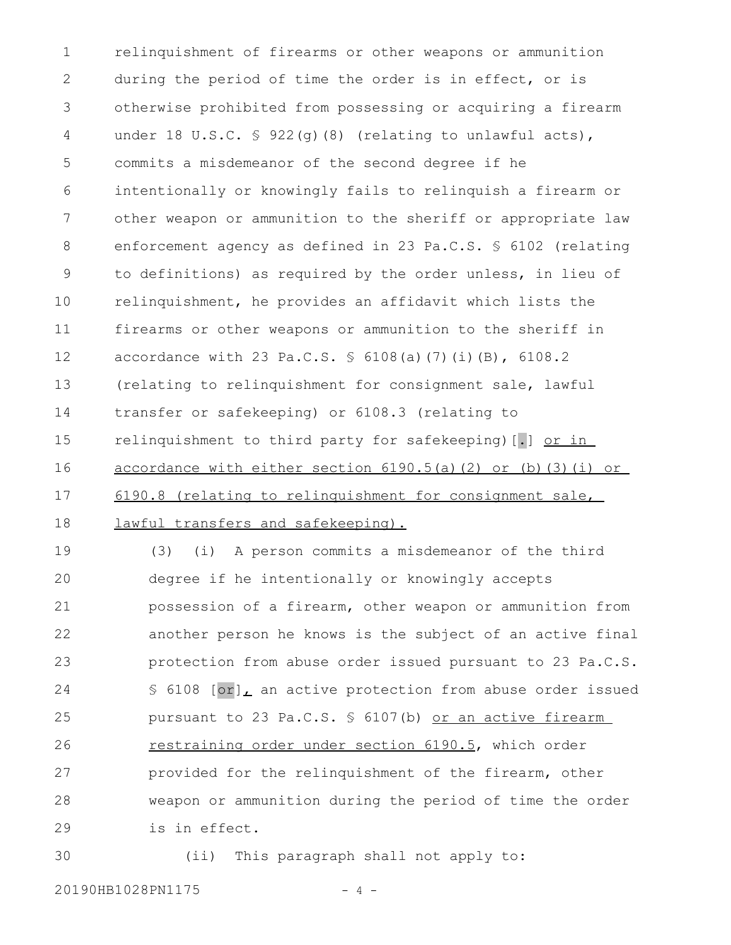relinquishment of firearms or other weapons or ammunition during the period of time the order is in effect, or is otherwise prohibited from possessing or acquiring a firearm under 18 U.S.C. § 922(g)(8) (relating to unlawful acts), commits a misdemeanor of the second degree if he intentionally or knowingly fails to relinquish a firearm or other weapon or ammunition to the sheriff or appropriate law enforcement agency as defined in 23 Pa.C.S. § 6102 (relating to definitions) as required by the order unless, in lieu of relinquishment, he provides an affidavit which lists the firearms or other weapons or ammunition to the sheriff in accordance with 23 Pa.C.S. § 6108(a)(7)(i)(B), 6108.2 (relating to relinquishment for consignment sale, lawful transfer or safekeeping) or 6108.3 (relating to relinquishment to third party for safekeeping) [.] or in accordance with either section 6190.5(a)(2) or (b)(3)(i) or 6190.8 (relating to relinquishment for consignment sale, lawful transfers and safekeeping). (3) (i) A person commits a misdemeanor of the third degree if he intentionally or knowingly accepts possession of a firearm, other weapon or ammunition from another person he knows is the subject of an active final protection from abuse order issued pursuant to 23 Pa.C.S. § 6108 [or], an active protection from abuse order issued pursuant to 23 Pa.C.S. § 6107(b) or an active firearm 1 2 3 4 5 6 7 8 9 10 11 12 13 14 15 16 17 18 19 20 21 22 23 24 25

restraining order under section 6190.5, which order provided for the relinquishment of the firearm, other weapon or ammunition during the period of time the order is in effect. 26 27 28 29

(ii) This paragraph shall not apply to: 30

20190HB1028PN1175 - 4 -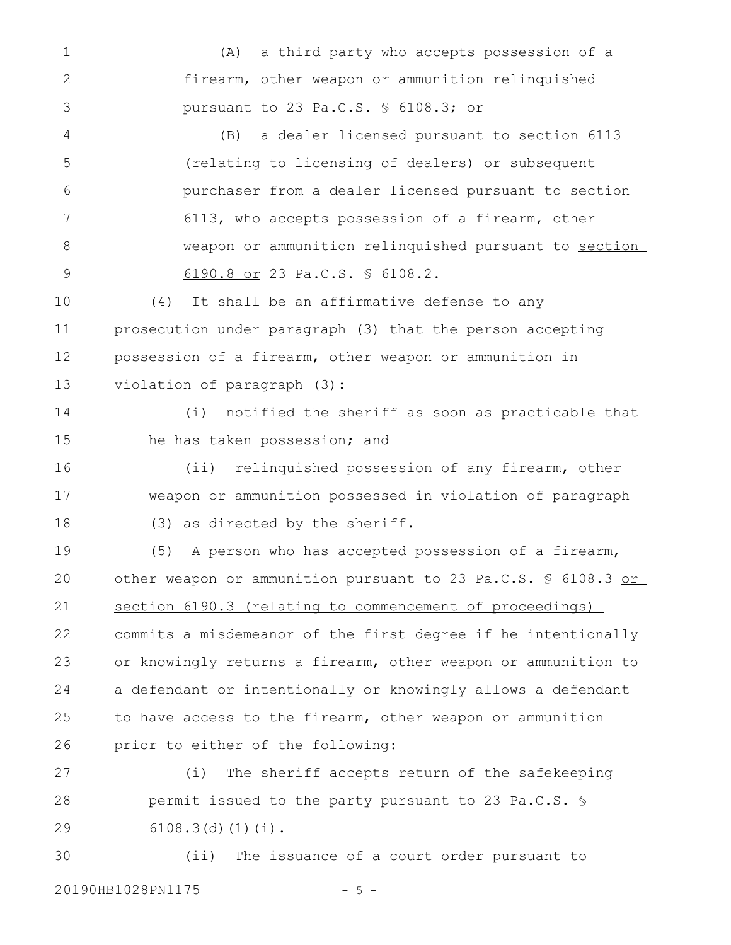(A) a third party who accepts possession of a firearm, other weapon or ammunition relinquished pursuant to 23 Pa.C.S. § 6108.3; or (B) a dealer licensed pursuant to section 6113 (relating to licensing of dealers) or subsequent purchaser from a dealer licensed pursuant to section 6113, who accepts possession of a firearm, other weapon or ammunition relinquished pursuant to section 6190.8 or 23 Pa.C.S. § 6108.2. (4) It shall be an affirmative defense to any prosecution under paragraph (3) that the person accepting possession of a firearm, other weapon or ammunition in violation of paragraph (3): (i) notified the sheriff as soon as practicable that he has taken possession; and (ii) relinquished possession of any firearm, other weapon or ammunition possessed in violation of paragraph (3) as directed by the sheriff. (5) A person who has accepted possession of a firearm, other weapon or ammunition pursuant to 23 Pa.C.S. § 6108.3 or section 6190.3 (relating to commencement of proceedings) commits a misdemeanor of the first degree if he intentionally or knowingly returns a firearm, other weapon or ammunition to a defendant or intentionally or knowingly allows a defendant to have access to the firearm, other weapon or ammunition prior to either of the following: (i) The sheriff accepts return of the safekeeping permit issued to the party pursuant to 23 Pa.C.S. § 6108.3(d)(1)(i). (ii) The issuance of a court order pursuant to 1 2 3 4 5 6 7 8 9 10 11 12 13 14 15 16 17 18 19 20 21 22 23 24 25 26 27 28 29 30

20190HB1028PN1175 - 5 -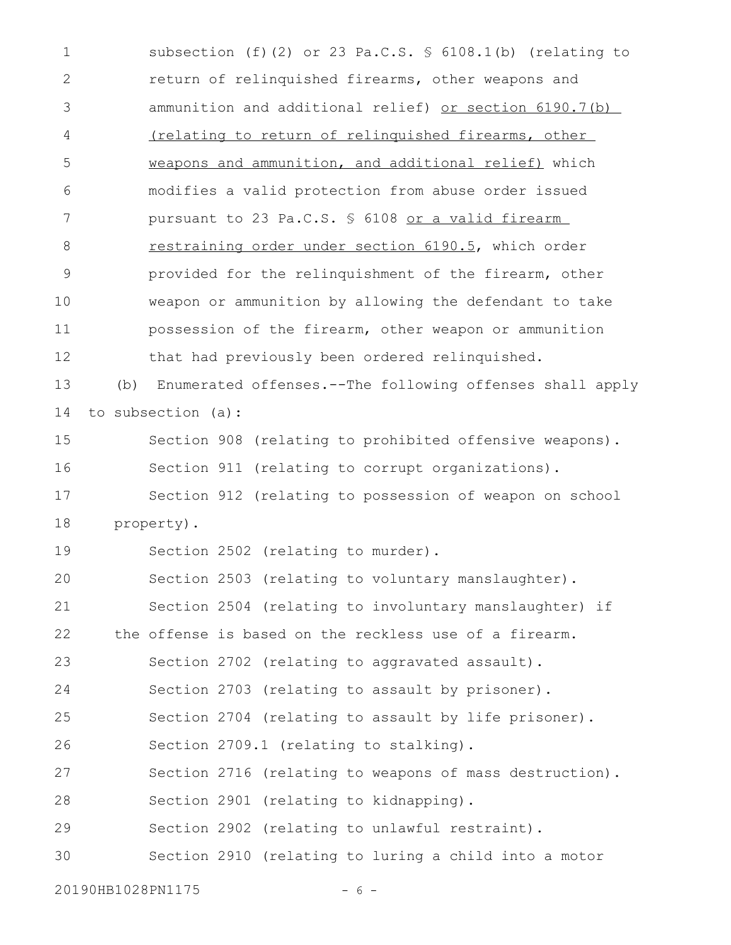subsection (f)(2) or 23 Pa.C.S. § 6108.1(b) (relating to return of relinquished firearms, other weapons and ammunition and additional relief) or section 6190.7(b) (relating to return of relinquished firearms, other weapons and ammunition, and additional relief) which modifies a valid protection from abuse order issued pursuant to 23 Pa.C.S. § 6108 or a valid firearm restraining order under section 6190.5, which order provided for the relinquishment of the firearm, other weapon or ammunition by allowing the defendant to take possession of the firearm, other weapon or ammunition that had previously been ordered relinquished. (b) Enumerated offenses.--The following offenses shall apply to subsection (a): Section 908 (relating to prohibited offensive weapons). Section 911 (relating to corrupt organizations). Section 912 (relating to possession of weapon on school property). Section 2502 (relating to murder). Section 2503 (relating to voluntary manslaughter). Section 2504 (relating to involuntary manslaughter) if the offense is based on the reckless use of a firearm. Section 2702 (relating to aggravated assault). Section 2703 (relating to assault by prisoner). Section 2704 (relating to assault by life prisoner). Section 2709.1 (relating to stalking). Section 2716 (relating to weapons of mass destruction). Section 2901 (relating to kidnapping). Section 2902 (relating to unlawful restraint). Section 2910 (relating to luring a child into a motor 1 2 3 4 5 6 7 8 9 10 11 12 13 14 15 16 17 18 19 20 21 22 23 24 25 26 27 28 29 30

20190HB1028PN1175 - 6 -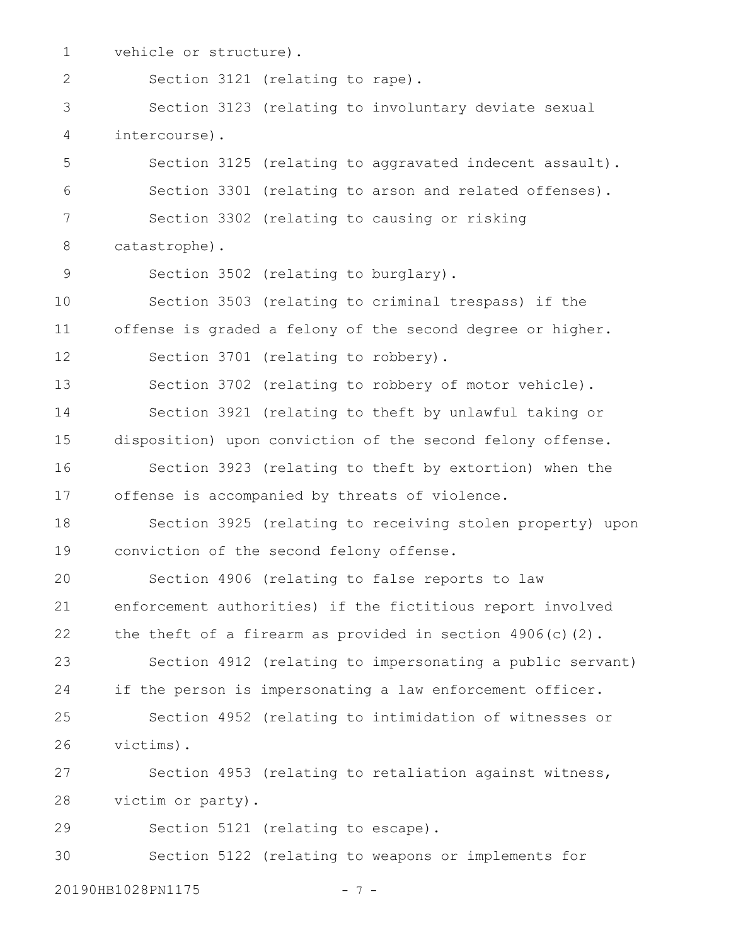vehicle or structure). Section 3121 (relating to rape). Section 3123 (relating to involuntary deviate sexual intercourse). Section 3125 (relating to aggravated indecent assault). Section 3301 (relating to arson and related offenses). Section 3302 (relating to causing or risking catastrophe). Section 3502 (relating to burglary). Section 3503 (relating to criminal trespass) if the offense is graded a felony of the second degree or higher. Section 3701 (relating to robbery). Section 3702 (relating to robbery of motor vehicle). Section 3921 (relating to theft by unlawful taking or disposition) upon conviction of the second felony offense. Section 3923 (relating to theft by extortion) when the offense is accompanied by threats of violence. Section 3925 (relating to receiving stolen property) upon conviction of the second felony offense. Section 4906 (relating to false reports to law enforcement authorities) if the fictitious report involved the theft of a firearm as provided in section 4906(c)(2). Section 4912 (relating to impersonating a public servant) if the person is impersonating a law enforcement officer. Section 4952 (relating to intimidation of witnesses or victims). Section 4953 (relating to retaliation against witness, victim or party). Section 5121 (relating to escape). Section 5122 (relating to weapons or implements for 1 2 3 4 5 6 7 8 9 10 11 12 13 14 15 16 17 18 19 20 21 22 23 24 25 26 27 28 29 30

20190HB1028PN1175 - 7 -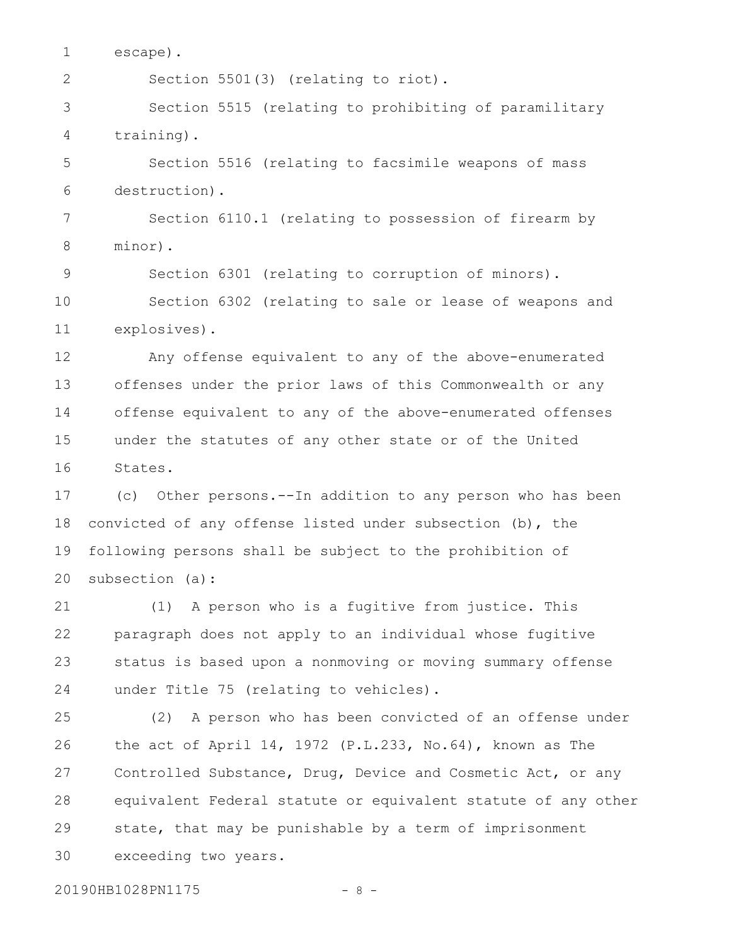escape). 1

2

9

Section 5501(3) (relating to riot).

Section 5515 (relating to prohibiting of paramilitary training). 3 4

Section 5516 (relating to facsimile weapons of mass destruction). 5 6

Section 6110.1 (relating to possession of firearm by minor). 7 8

Section 6301 (relating to corruption of minors).

Section 6302 (relating to sale or lease of weapons and explosives). 10 11

Any offense equivalent to any of the above-enumerated offenses under the prior laws of this Commonwealth or any offense equivalent to any of the above-enumerated offenses under the statutes of any other state or of the United States. 12 13 14 15 16

(c) Other persons.--In addition to any person who has been convicted of any offense listed under subsection (b), the following persons shall be subject to the prohibition of subsection (a): 17 18 19 20

(1) A person who is a fugitive from justice. This paragraph does not apply to an individual whose fugitive status is based upon a nonmoving or moving summary offense under Title 75 (relating to vehicles). 21 22 23 24

(2) A person who has been convicted of an offense under the act of April 14, 1972 (P.L.233, No.64), known as The Controlled Substance, Drug, Device and Cosmetic Act, or any equivalent Federal statute or equivalent statute of any other state, that may be punishable by a term of imprisonment exceeding two years. 25 26 27 28 29 30

20190HB1028PN1175 - 8 -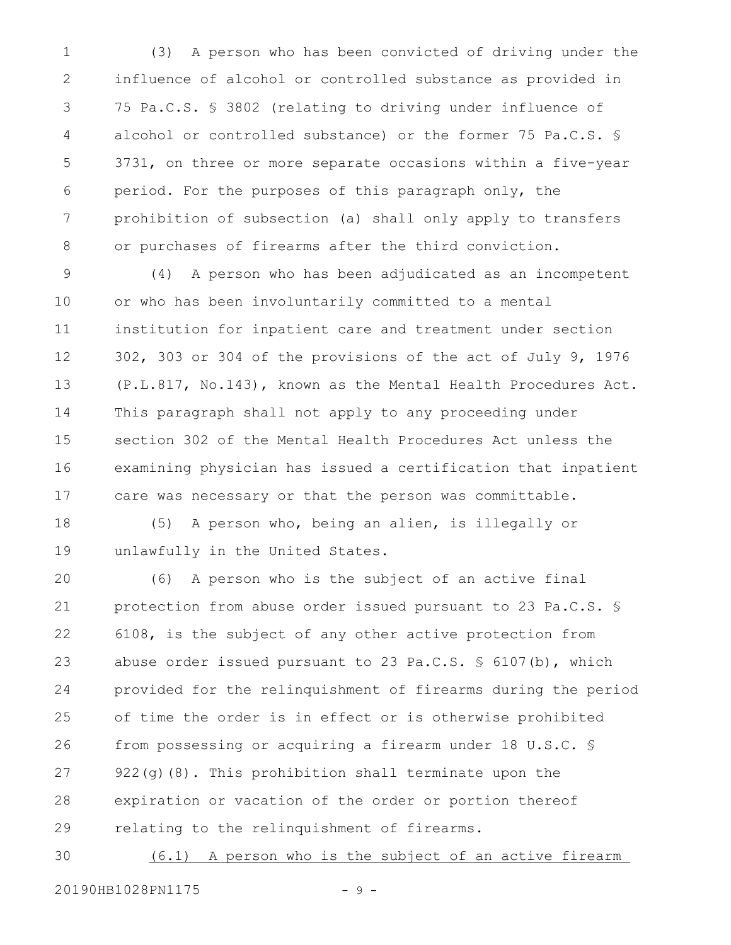(3) A person who has been convicted of driving under the influence of alcohol or controlled substance as provided in 75 Pa.C.S. § 3802 (relating to driving under influence of alcohol or controlled substance) or the former 75 Pa.C.S. § 3731, on three or more separate occasions within a five-year period. For the purposes of this paragraph only, the prohibition of subsection (a) shall only apply to transfers or purchases of firearms after the third conviction. 1 2 3 4 5 6 7 8

(4) A person who has been adjudicated as an incompetent or who has been involuntarily committed to a mental institution for inpatient care and treatment under section 302, 303 or 304 of the provisions of the act of July 9, 1976 (P.L.817, No.143), known as the Mental Health Procedures Act. This paragraph shall not apply to any proceeding under section 302 of the Mental Health Procedures Act unless the examining physician has issued a certification that inpatient care was necessary or that the person was committable. 9 10 11 12 13 14 15 16 17

(5) A person who, being an alien, is illegally or unlawfully in the United States. 18 19

(6) A person who is the subject of an active final protection from abuse order issued pursuant to 23 Pa.C.S. § 6108, is the subject of any other active protection from abuse order issued pursuant to 23 Pa.C.S. § 6107(b), which provided for the relinquishment of firearms during the period of time the order is in effect or is otherwise prohibited from possessing or acquiring a firearm under 18 U.S.C. § 922(g)(8). This prohibition shall terminate upon the expiration or vacation of the order or portion thereof relating to the relinquishment of firearms. 20 21 22 23 24 25 26 27 28 29

(6.1) A person who is the subject of an active firearm 20190HB1028PN1175 - 9 -30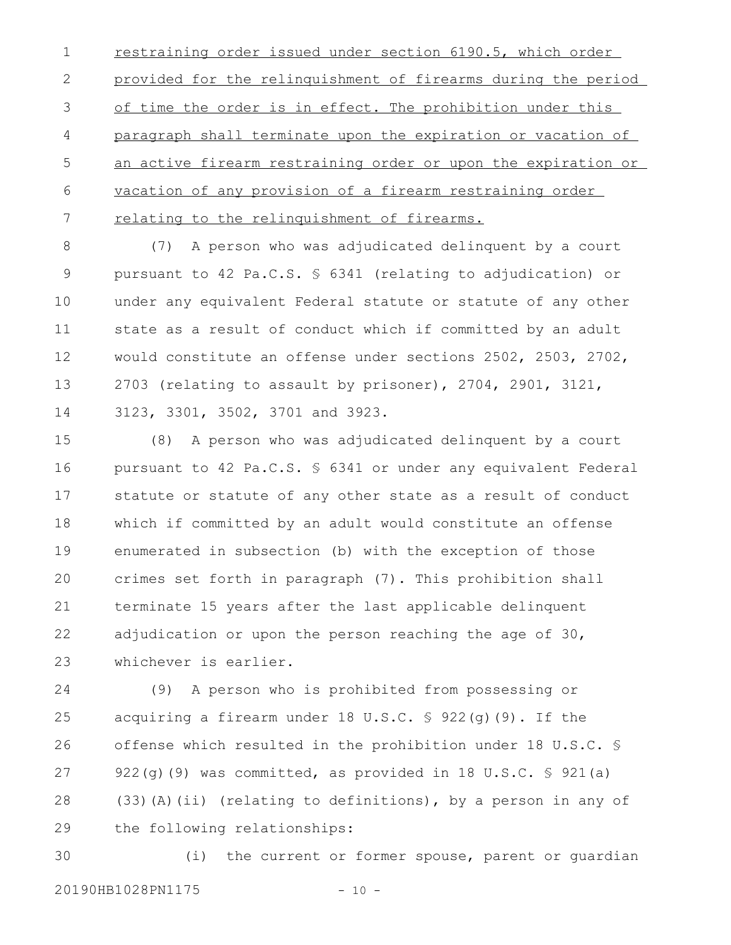restraining order issued under section 6190.5, which order provided for the relinquishment of firearms during the period of time the order is in effect. The prohibition under this paragraph shall terminate upon the expiration or vacation of an active firearm restraining order or upon the expiration or vacation of any provision of a firearm restraining order relating to the relinquishment of firearms. 1 2 3 4 5 6 7

(7) A person who was adjudicated delinquent by a court pursuant to 42 Pa.C.S. § 6341 (relating to adjudication) or under any equivalent Federal statute or statute of any other state as a result of conduct which if committed by an adult would constitute an offense under sections 2502, 2503, 2702, 2703 (relating to assault by prisoner), 2704, 2901, 3121, 3123, 3301, 3502, 3701 and 3923. 8 9 10 11 12 13 14

(8) A person who was adjudicated delinquent by a court pursuant to 42 Pa.C.S. § 6341 or under any equivalent Federal statute or statute of any other state as a result of conduct which if committed by an adult would constitute an offense enumerated in subsection (b) with the exception of those crimes set forth in paragraph (7). This prohibition shall terminate 15 years after the last applicable delinquent adjudication or upon the person reaching the age of 30, whichever is earlier. 15 16 17 18 19 20 21 22 23

(9) A person who is prohibited from possessing or acquiring a firearm under  $18 \text{ U.S.C. }$  \$  $922(q)(9)$ . If the offense which resulted in the prohibition under 18 U.S.C. § 922(g)(9) was committed, as provided in 18 U.S.C. § 921(a) (33)(A)(ii) (relating to definitions), by a person in any of the following relationships: 24 25 26 27 28 29

(i) the current or former spouse, parent or guardian 20190HB1028PN1175 - 10 -30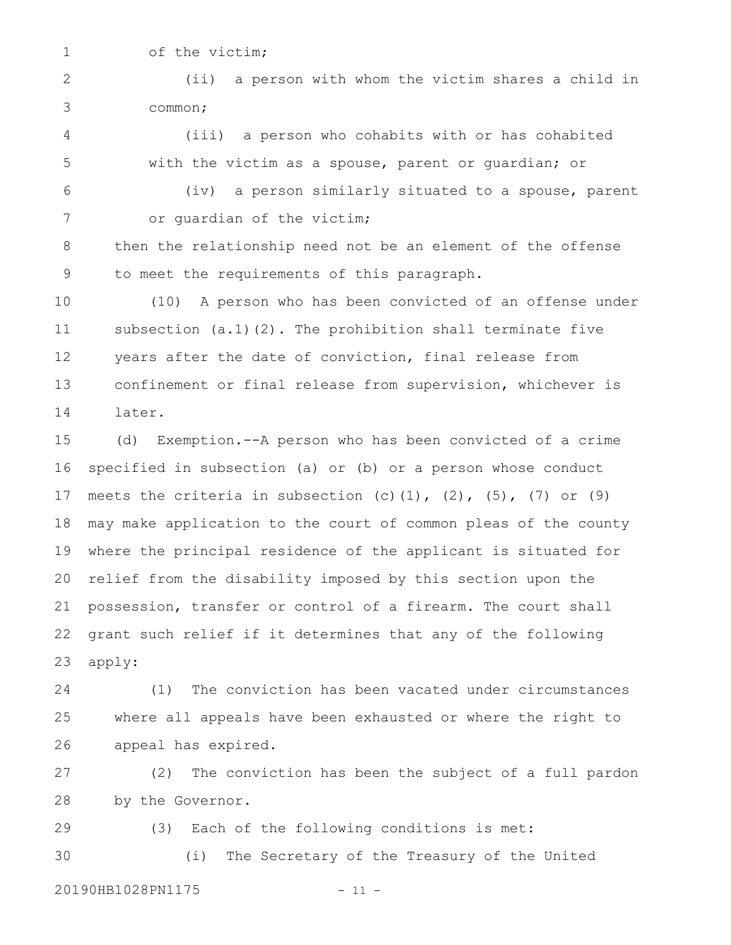1

of the victim;

(ii) a person with whom the victim shares a child in common; 2 3

(iii) a person who cohabits with or has cohabited with the victim as a spouse, parent or guardian; or 4 5

6

(iv) a person similarly situated to a spouse, parent or guardian of the victim; 7

then the relationship need not be an element of the offense to meet the requirements of this paragraph. 8 9

(10) A person who has been convicted of an offense under subsection  $(a.1)(2)$ . The prohibition shall terminate five years after the date of conviction, final release from confinement or final release from supervision, whichever is later. 10 11 12 13 14

(d) Exemption.--A person who has been convicted of a crime specified in subsection (a) or (b) or a person whose conduct meets the criteria in subsection (c)(1), (2), (5), (7) or (9) may make application to the court of common pleas of the county where the principal residence of the applicant is situated for relief from the disability imposed by this section upon the possession, transfer or control of a firearm. The court shall grant such relief if it determines that any of the following apply: 15 16 17 18 19 20 21 22 23

(1) The conviction has been vacated under circumstances where all appeals have been exhausted or where the right to appeal has expired. 24 25 26

(2) The conviction has been the subject of a full pardon by the Governor. 27 28

(3) Each of the following conditions is met: (i) The Secretary of the Treasury of the United 29 30

20190HB1028PN1175 - 11 -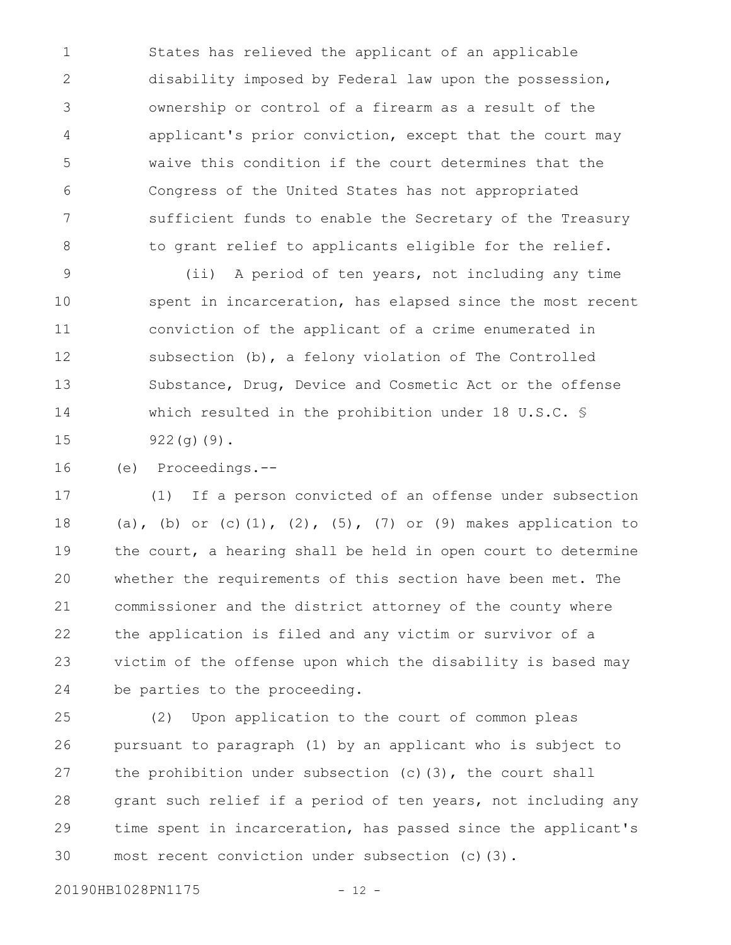States has relieved the applicant of an applicable disability imposed by Federal law upon the possession, ownership or control of a firearm as a result of the applicant's prior conviction, except that the court may waive this condition if the court determines that the Congress of the United States has not appropriated sufficient funds to enable the Secretary of the Treasury to grant relief to applicants eligible for the relief. 1 2 3 4 5 6 7 8

(ii) A period of ten years, not including any time spent in incarceration, has elapsed since the most recent conviction of the applicant of a crime enumerated in subsection (b), a felony violation of The Controlled Substance, Drug, Device and Cosmetic Act or the offense which resulted in the prohibition under 18 U.S.C. § 922(g)(9). 9 10 11 12 13 14 15

(e) Proceedings.-- 16

(1) If a person convicted of an offense under subsection (a), (b) or (c)(1), (2), (5), (7) or (9) makes application to the court, a hearing shall be held in open court to determine whether the requirements of this section have been met. The commissioner and the district attorney of the county where the application is filed and any victim or survivor of a victim of the offense upon which the disability is based may be parties to the proceeding. 17 18 19 20 21 22 23 24

(2) Upon application to the court of common pleas pursuant to paragraph (1) by an applicant who is subject to the prohibition under subsection  $(c)$  (3), the court shall grant such relief if a period of ten years, not including any time spent in incarceration, has passed since the applicant's most recent conviction under subsection (c)(3). 25 26 27 28 29 30

20190HB1028PN1175 - 12 -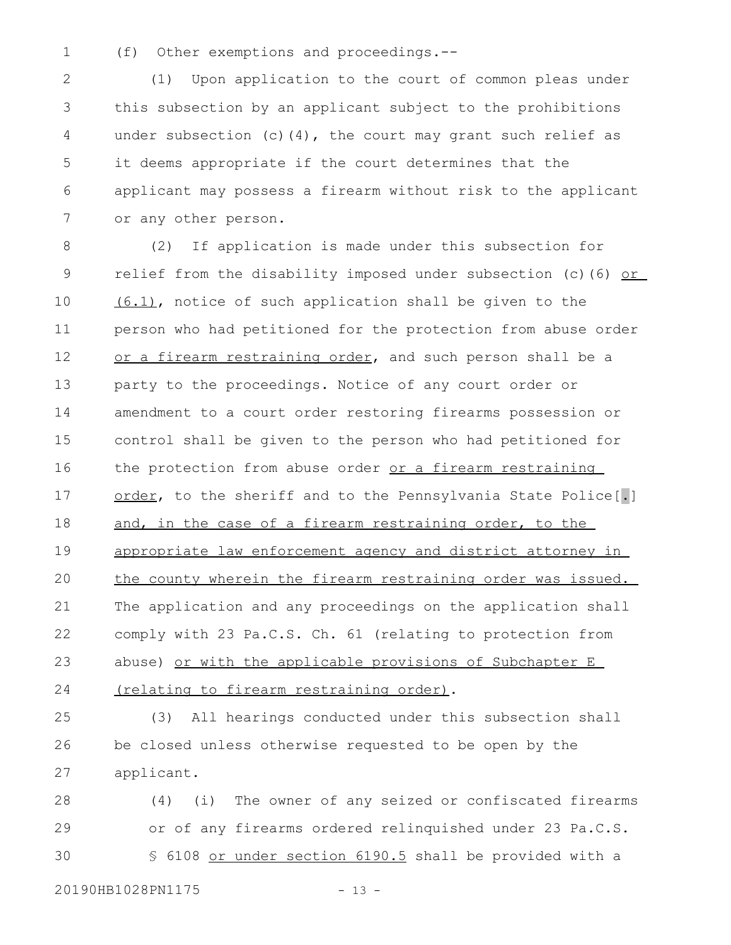(f) Other exemptions and proceedings.-- 1

(1) Upon application to the court of common pleas under this subsection by an applicant subject to the prohibitions under subsection (c)(4), the court may grant such relief as it deems appropriate if the court determines that the applicant may possess a firearm without risk to the applicant or any other person. 2 3 4 5 6 7

(2) If application is made under this subsection for relief from the disability imposed under subsection (c)(6) or (6.1), notice of such application shall be given to the person who had petitioned for the protection from abuse order or a firearm restraining order, and such person shall be a party to the proceedings. Notice of any court order or amendment to a court order restoring firearms possession or control shall be given to the person who had petitioned for the protection from abuse order or a firearm restraining order, to the sheriff and to the Pennsylvania State Police[.] and, in the case of a firearm restraining order, to the appropriate law enforcement agency and district attorney in the county wherein the firearm restraining order was issued. The application and any proceedings on the application shall comply with 23 Pa.C.S. Ch. 61 (relating to protection from abuse) or with the applicable provisions of Subchapter E (relating to firearm restraining order). 8 9 10 11 12 13 14 15 16 17 18 19 20 21 22 23 24

(3) All hearings conducted under this subsection shall be closed unless otherwise requested to be open by the applicant. 25 26 27

(4) (i) The owner of any seized or confiscated firearms or of any firearms ordered relinquished under 23 Pa.C.S. § 6108 or under section 6190.5 shall be provided with a 28 29 30

20190HB1028PN1175 - 13 -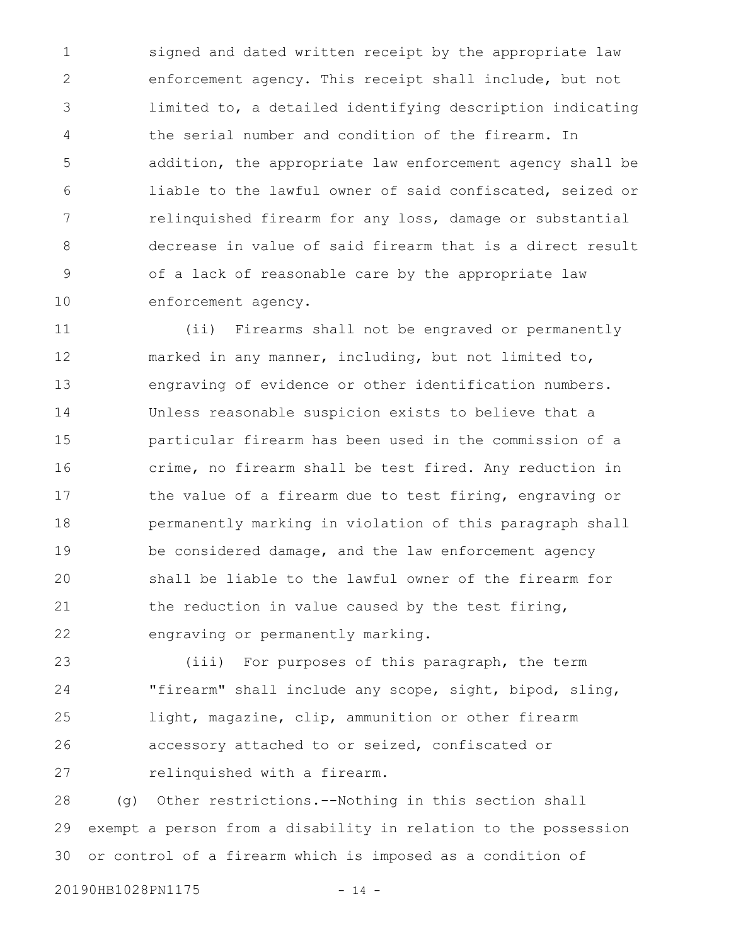signed and dated written receipt by the appropriate law enforcement agency. This receipt shall include, but not limited to, a detailed identifying description indicating the serial number and condition of the firearm. In addition, the appropriate law enforcement agency shall be liable to the lawful owner of said confiscated, seized or relinquished firearm for any loss, damage or substantial decrease in value of said firearm that is a direct result of a lack of reasonable care by the appropriate law enforcement agency. 1 2 3 4 5 6 7 8 9 10

(ii) Firearms shall not be engraved or permanently marked in any manner, including, but not limited to, engraving of evidence or other identification numbers. Unless reasonable suspicion exists to believe that a particular firearm has been used in the commission of a crime, no firearm shall be test fired. Any reduction in the value of a firearm due to test firing, engraving or permanently marking in violation of this paragraph shall be considered damage, and the law enforcement agency shall be liable to the lawful owner of the firearm for the reduction in value caused by the test firing, engraving or permanently marking. 11 12 13 14 15 16 17 18 19 20 21 22

(iii) For purposes of this paragraph, the term "firearm" shall include any scope, sight, bipod, sling, light, magazine, clip, ammunition or other firearm accessory attached to or seized, confiscated or relinquished with a firearm. 23 24 25 26 27

(g) Other restrictions.--Nothing in this section shall exempt a person from a disability in relation to the possession or control of a firearm which is imposed as a condition of 28 29 30

20190HB1028PN1175 - 14 -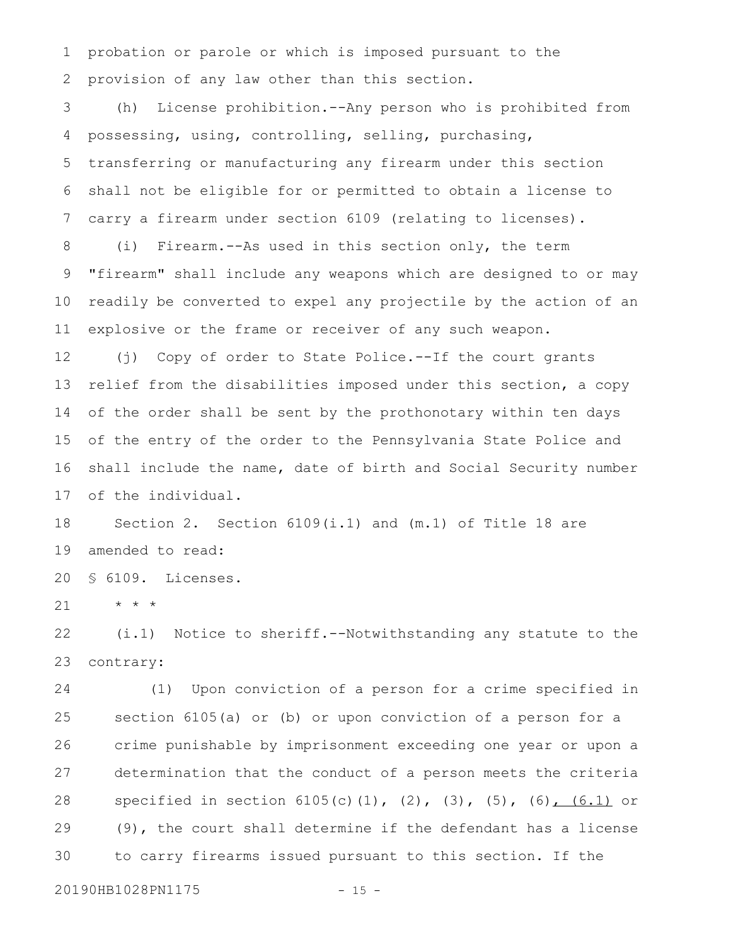probation or parole or which is imposed pursuant to the provision of any law other than this section. 1 2

(h) License prohibition.--Any person who is prohibited from possessing, using, controlling, selling, purchasing, transferring or manufacturing any firearm under this section shall not be eligible for or permitted to obtain a license to carry a firearm under section 6109 (relating to licenses). 3 4 5 6 7

(i) Firearm.--As used in this section only, the term "firearm" shall include any weapons which are designed to or may readily be converted to expel any projectile by the action of an explosive or the frame or receiver of any such weapon. 8 9 10 11

(j) Copy of order to State Police.--If the court grants relief from the disabilities imposed under this section, a copy of the order shall be sent by the prothonotary within ten days of the entry of the order to the Pennsylvania State Police and shall include the name, date of birth and Social Security number of the individual. 12 13 14 15 16 17

Section 2. Section 6109(i.1) and (m.1) of Title 18 are amended to read: 18 19

§ 6109. Licenses. 20

\* \* \* 21

(i.1) Notice to sheriff.--Notwithstanding any statute to the contrary: 22 23

(1) Upon conviction of a person for a crime specified in section 6105(a) or (b) or upon conviction of a person for a crime punishable by imprisonment exceeding one year or upon a determination that the conduct of a person meets the criteria specified in section 6105(c)(1), (2), (3), (5), (6), (6.1) or (9), the court shall determine if the defendant has a license to carry firearms issued pursuant to this section. If the 24 25 26 27 28 29 30

20190HB1028PN1175 - 15 -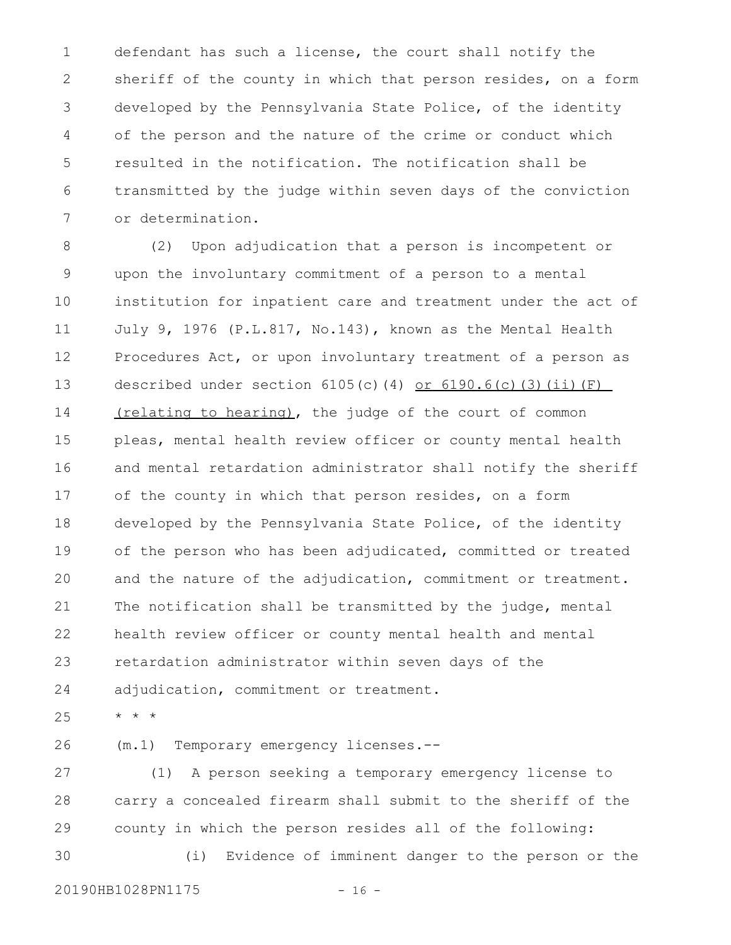defendant has such a license, the court shall notify the sheriff of the county in which that person resides, on a form developed by the Pennsylvania State Police, of the identity of the person and the nature of the crime or conduct which resulted in the notification. The notification shall be transmitted by the judge within seven days of the conviction or determination. 1 2 3 4 5 6 7

(2) Upon adjudication that a person is incompetent or upon the involuntary commitment of a person to a mental institution for inpatient care and treatment under the act of July 9, 1976 (P.L.817, No.143), known as the Mental Health Procedures Act, or upon involuntary treatment of a person as described under section  $6105(c)$ (4) or  $6190.6(c)$ (3)(ii)(F) (relating to hearing), the judge of the court of common pleas, mental health review officer or county mental health and mental retardation administrator shall notify the sheriff of the county in which that person resides, on a form developed by the Pennsylvania State Police, of the identity of the person who has been adjudicated, committed or treated and the nature of the adjudication, commitment or treatment. The notification shall be transmitted by the judge, mental health review officer or county mental health and mental retardation administrator within seven days of the adjudication, commitment or treatment. 8 9 10 11 12 13 14 15 16 17 18 19 20 21 22 23 24

\* \* \* 25

(m.1) Temporary emergency licenses.-- 26

(1) A person seeking a temporary emergency license to carry a concealed firearm shall submit to the sheriff of the county in which the person resides all of the following: (i) Evidence of imminent danger to the person or the 27 28 29 30

20190HB1028PN1175 - 16 -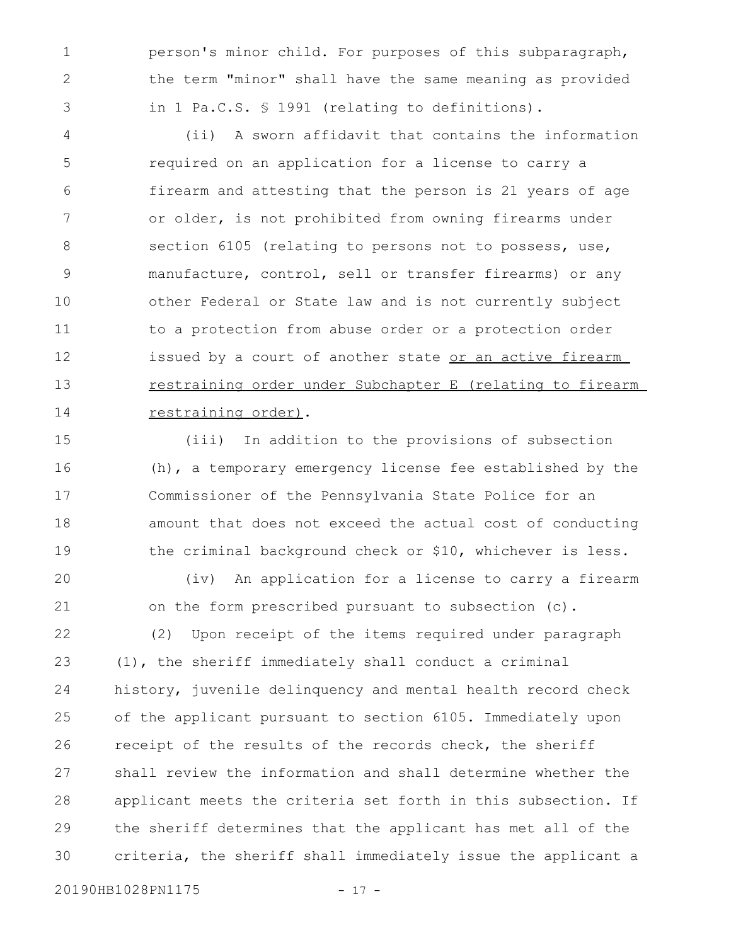person's minor child. For purposes of this subparagraph, the term "minor" shall have the same meaning as provided in 1 Pa.C.S. § 1991 (relating to definitions).

(ii) A sworn affidavit that contains the information required on an application for a license to carry a firearm and attesting that the person is 21 years of age or older, is not prohibited from owning firearms under section 6105 (relating to persons not to possess, use, manufacture, control, sell or transfer firearms) or any other Federal or State law and is not currently subject to a protection from abuse order or a protection order issued by a court of another state or an active firearm restraining order under Subchapter E (relating to firearm restraining order). 4 5 6 7 8 9 10 11 12 13 14

(iii) In addition to the provisions of subsection (h), a temporary emergency license fee established by the Commissioner of the Pennsylvania State Police for an amount that does not exceed the actual cost of conducting the criminal background check or \$10, whichever is less. 15 16 17 18 19

(iv) An application for a license to carry a firearm on the form prescribed pursuant to subsection (c). 20 21

(2) Upon receipt of the items required under paragraph (1), the sheriff immediately shall conduct a criminal history, juvenile delinquency and mental health record check of the applicant pursuant to section 6105. Immediately upon receipt of the results of the records check, the sheriff shall review the information and shall determine whether the applicant meets the criteria set forth in this subsection. If the sheriff determines that the applicant has met all of the criteria, the sheriff shall immediately issue the applicant a 22 23 24 25 26 27 28 29 30

20190HB1028PN1175 - 17 -

1

2

3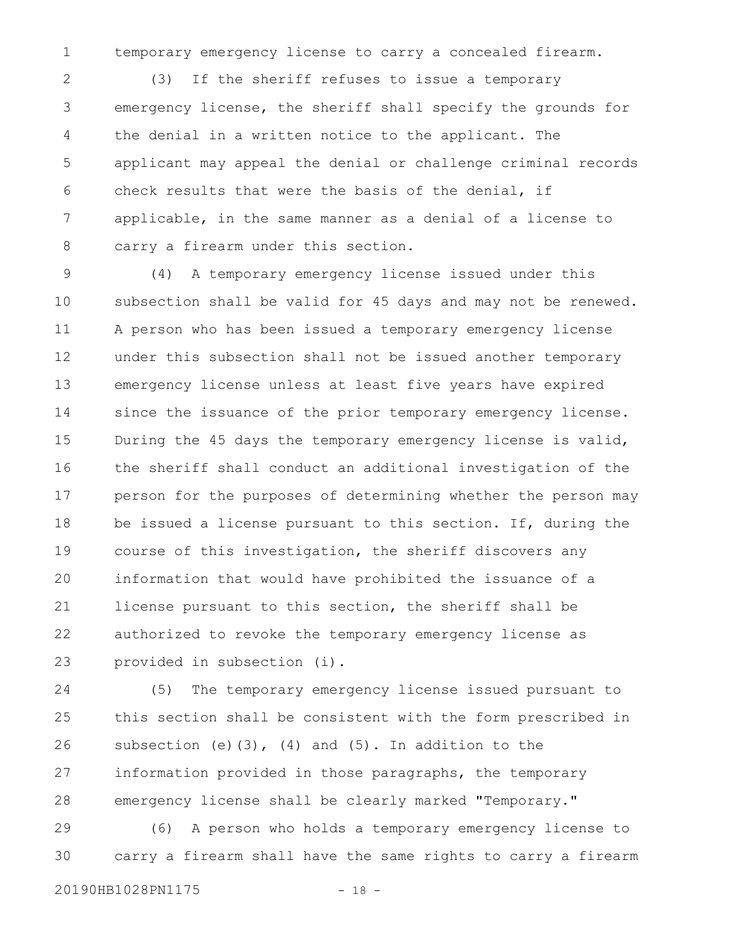temporary emergency license to carry a concealed firearm.

(3) If the sheriff refuses to issue a temporary emergency license, the sheriff shall specify the grounds for the denial in a written notice to the applicant. The applicant may appeal the denial or challenge criminal records check results that were the basis of the denial, if applicable, in the same manner as a denial of a license to carry a firearm under this section. 2 3 4 5 6 7 8

(4) A temporary emergency license issued under this subsection shall be valid for 45 days and may not be renewed. A person who has been issued a temporary emergency license under this subsection shall not be issued another temporary emergency license unless at least five years have expired since the issuance of the prior temporary emergency license. During the 45 days the temporary emergency license is valid, the sheriff shall conduct an additional investigation of the person for the purposes of determining whether the person may be issued a license pursuant to this section. If, during the course of this investigation, the sheriff discovers any information that would have prohibited the issuance of a license pursuant to this section, the sheriff shall be authorized to revoke the temporary emergency license as provided in subsection (i). 9 10 11 12 13 14 15 16 17 18 19 20 21 22 23

(5) The temporary emergency license issued pursuant to this section shall be consistent with the form prescribed in subsection (e) $(3)$ ,  $(4)$  and  $(5)$ . In addition to the information provided in those paragraphs, the temporary emergency license shall be clearly marked "Temporary." 24 25 26 27 28

(6) A person who holds a temporary emergency license to carry a firearm shall have the same rights to carry a firearm 29 30

20190HB1028PN1175 - 18 -

1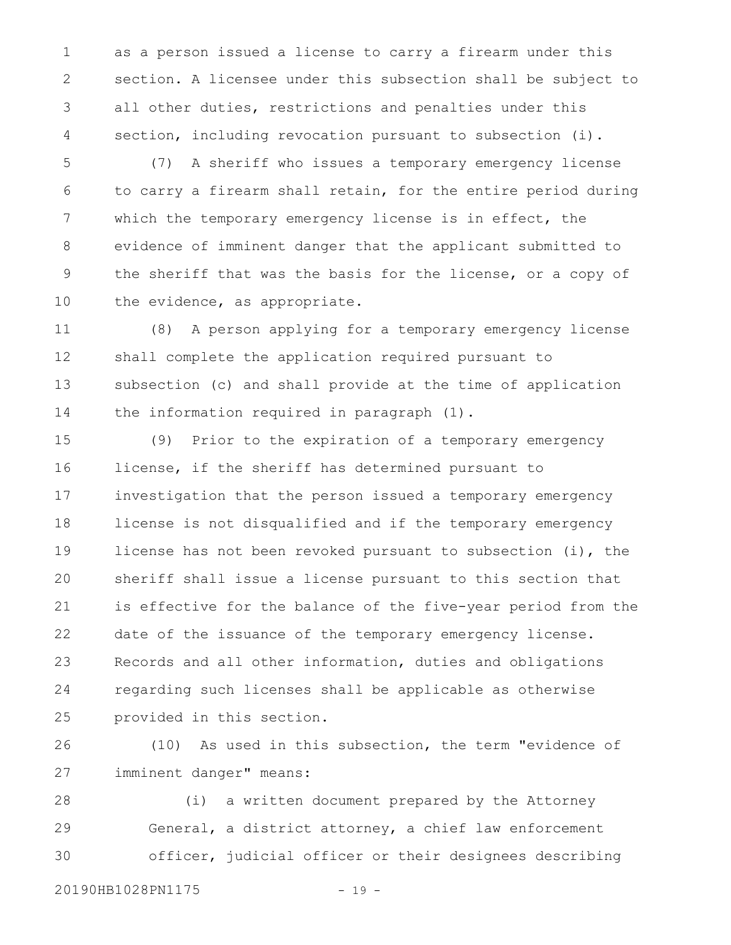as a person issued a license to carry a firearm under this section. A licensee under this subsection shall be subject to all other duties, restrictions and penalties under this section, including revocation pursuant to subsection (i). 1 2 3 4

(7) A sheriff who issues a temporary emergency license to carry a firearm shall retain, for the entire period during which the temporary emergency license is in effect, the evidence of imminent danger that the applicant submitted to the sheriff that was the basis for the license, or a copy of the evidence, as appropriate. 5 6 7 8 9 10

(8) A person applying for a temporary emergency license shall complete the application required pursuant to subsection (c) and shall provide at the time of application the information required in paragraph (1). 11 12 13 14

(9) Prior to the expiration of a temporary emergency license, if the sheriff has determined pursuant to investigation that the person issued a temporary emergency license is not disqualified and if the temporary emergency license has not been revoked pursuant to subsection (i), the sheriff shall issue a license pursuant to this section that is effective for the balance of the five-year period from the date of the issuance of the temporary emergency license. Records and all other information, duties and obligations regarding such licenses shall be applicable as otherwise provided in this section. 15 16 17 18 19 20 21 22 23 24 25

(10) As used in this subsection, the term "evidence of imminent danger" means: 26 27

(i) a written document prepared by the Attorney General, a district attorney, a chief law enforcement officer, judicial officer or their designees describing 28 29 30

20190HB1028PN1175 - 19 -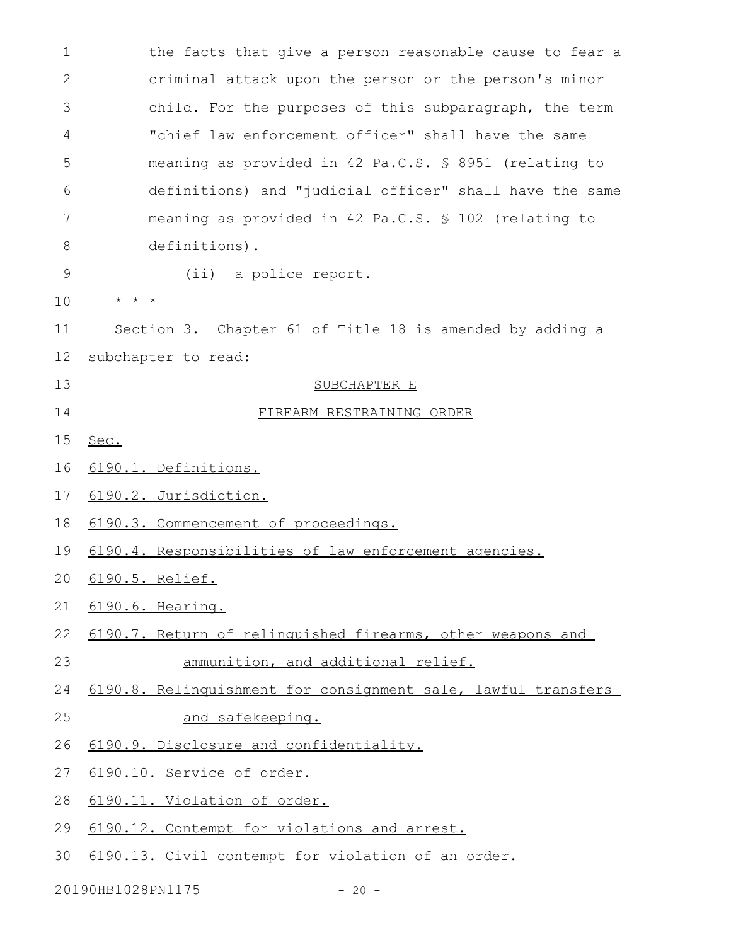the facts that give a person reasonable cause to fear a criminal attack upon the person or the person's minor child. For the purposes of this subparagraph, the term "chief law enforcement officer" shall have the same meaning as provided in 42 Pa.C.S. § 8951 (relating to definitions) and "judicial officer" shall have the same meaning as provided in 42 Pa.C.S. § 102 (relating to definitions). (ii) a police report. \* \* \* Section 3. Chapter 61 of Title 18 is amended by adding a subchapter to read: SUBCHAPTER E FIREARM RESTRAINING ORDER Sec. 6190.1. Definitions. 6190.2. Jurisdiction. 6190.3. Commencement of proceedings. 6190.4. Responsibilities of law enforcement agencies. 6190.5. Relief. 6190.6. Hearing. 6190.7. Return of relinquished firearms, other weapons and ammunition, and additional relief. 6190.8. Relinquishment for consignment sale, lawful transfers and safekeeping. 6190.9. Disclosure and confidentiality. 6190.10. Service of order. 6190.11. Violation of order. 6190.12. Contempt for violations and arrest. 6190.13. Civil contempt for violation of an order. 1 2 3 4 5 6 7 8 9 10 11 12 13 14 15 16 17 18 19 20 21 22 23 24 25 26 27 28 29 30

20190HB1028PN1175 - 20 -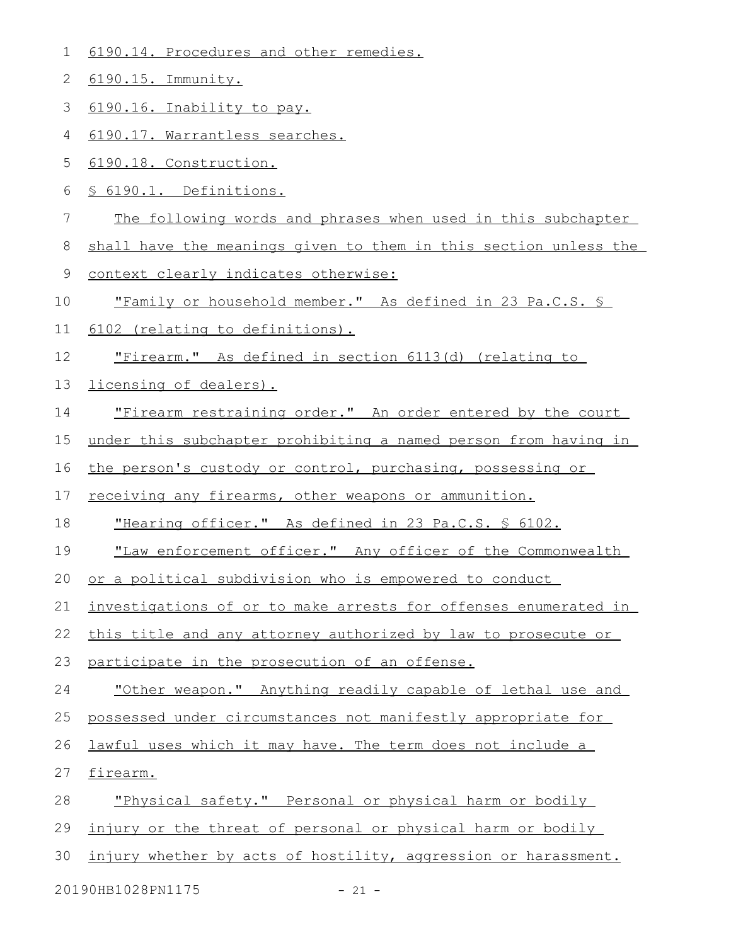|  | 6190.14. Procedures and other remedies. |  |
|--|-----------------------------------------|--|
|  |                                         |  |

6190.15. Immunity. 2

6190.16. Inability to pay. 3

6190.17. Warrantless searches. 4

6190.18. Construction. 5

§ 6190.1. Definitions. 6

The following words and phrases when used in this subchapter 7

shall have the meanings given to them in this section unless the 8

context clearly indicates otherwise: 9

"Family or household member." As defined in 23 Pa.C.S. § 10

6102 (relating to definitions). 11

"Firearm." As defined in section 6113(d) (relating to 12

licensing of dealers). 13

"Firearm restraining order." An order entered by the court 14

under this subchapter prohibiting a named person from having in 15

the person's custody or control, purchasing, possessing or 16

receiving any firearms, other weapons or ammunition. 17

"Hearing officer." As defined in 23 Pa.C.S. § 6102. 18

"Law enforcement officer." Any officer of the Commonwealth 19

or a political subdivision who is empowered to conduct 20

investigations of or to make arrests for offenses enumerated in 21

this title and any attorney authorized by law to prosecute or 22

participate in the prosecution of an offense. 23

"Other weapon." Anything readily capable of lethal use and 24

possessed under circumstances not manifestly appropriate for 25

lawful uses which it may have. The term does not include a 26

firearm. 27

"Physical safety." Personal or physical harm or bodily 28

injury or the threat of personal or physical harm or bodily 29

injury whether by acts of hostility, aggression or harassment. 30

20190HB1028PN1175 - 21 -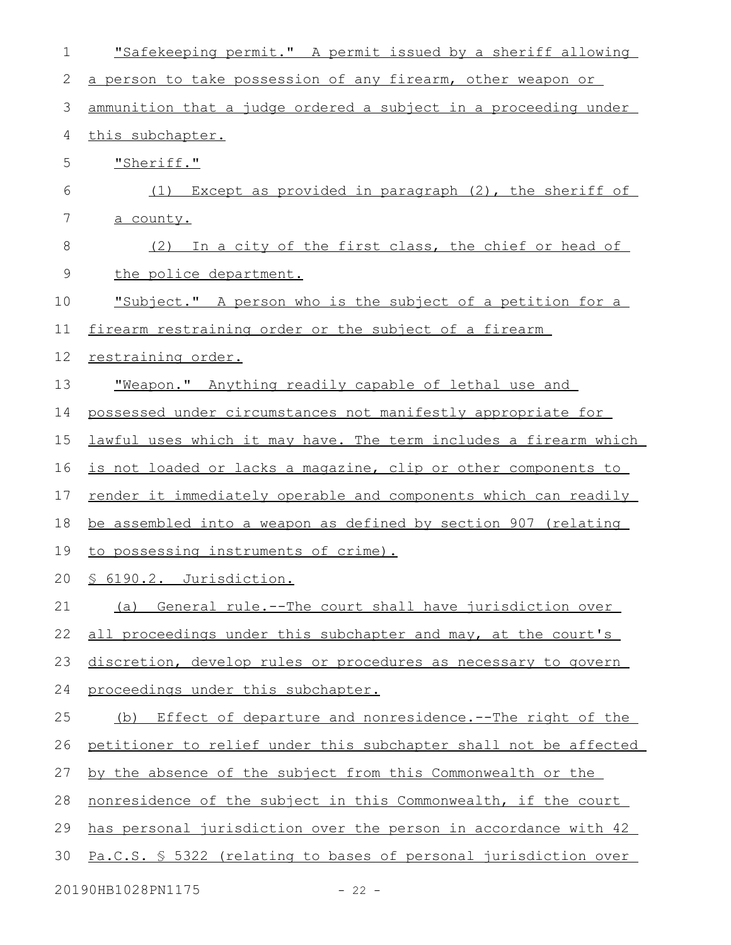| 1  | "Safekeeping permit." A permit issued by a sheriff allowing       |
|----|-------------------------------------------------------------------|
| 2  | a person to take possession of any firearm, other weapon or       |
| 3  | ammunition that a judge ordered a subject in a proceeding under   |
| 4  | this subchapter.                                                  |
| 5  | "Sheriff."                                                        |
| 6  | (1) Except as provided in paragraph (2), the sheriff of           |
| 7  | a county.                                                         |
| 8  | In a city of the first class, the chief or head of<br>(2)         |
| 9  | the police department.                                            |
| 10 | <u>"Subject." A person who is the subject of a petition for a</u> |
| 11 | firearm restraining order or the subject of a firearm             |
| 12 | restraining order.                                                |
| 13 | "Weapon." Anything readily capable of lethal use and              |
| 14 | possessed under circumstances not manifestly appropriate for      |
| 15 | lawful uses which it may have. The term includes a firearm which  |
| 16 | is not loaded or lacks a magazine, clip or other components to    |
| 17 | render it immediately operable and components which can readily   |
| 18 | be assembled into a weapon as defined by section 907 (relating    |
| 19 | to possessing instruments of crime).                              |
|    | 20 § 6190.2. Jurisdiction.                                        |
| 21 | General rule.--The court shall have jurisdiction over<br>(a)      |
| 22 | all proceedings under this subchapter and may, at the court's     |
| 23 | discretion, develop rules or procedures as necessary to govern    |
| 24 | proceedings under this subchapter.                                |
| 25 | Effect of departure and nonresidence.--The right of the<br>(b)    |
| 26 | petitioner to relief under this subchapter shall not be affected  |
| 27 | by the absence of the subject from this Commonwealth or the       |
| 28 | nonresidence of the subject in this Commonwealth, if the court    |
| 29 | has personal jurisdiction over the person in accordance with 42   |
| 30 | Pa.C.S. § 5322 (relating to bases of personal jurisdiction over   |
|    | 20190HB1028PN1175<br>$-22 -$                                      |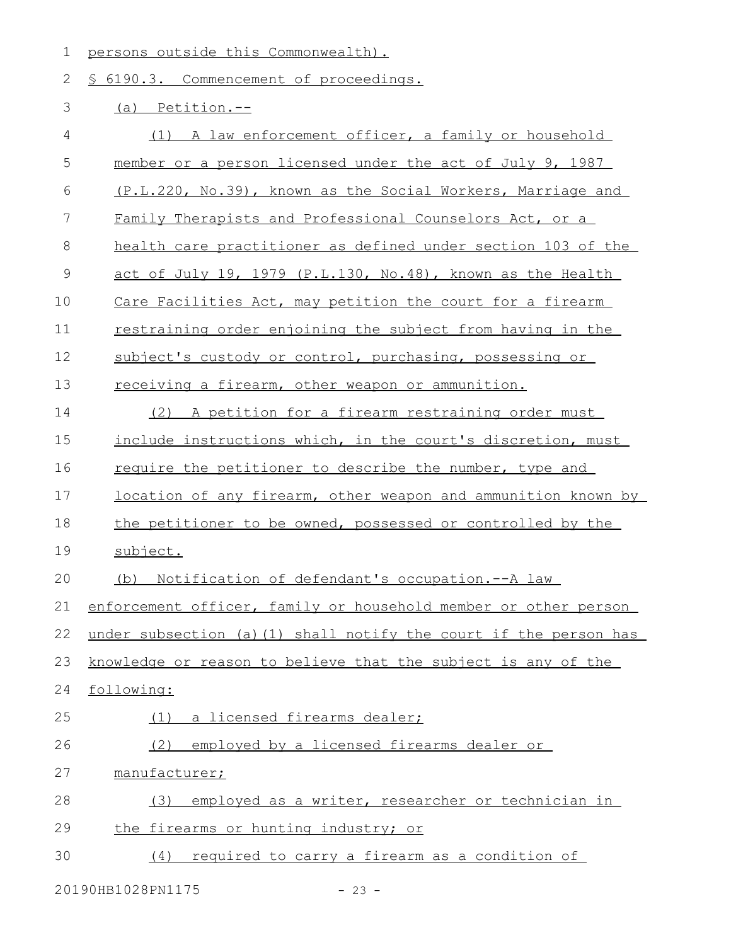1 persons outside this Commonwealth).

2 § 6190.3. Commencement of proceedings.

## 3 (a) Petition.--

| 4           | (1) A law enforcement officer, a family or household              |
|-------------|-------------------------------------------------------------------|
| 5           | member or a person licensed under the act of July 9, 1987         |
| 6           | (P.L.220, No.39), known as the Social Workers, Marriage and       |
| 7           | Family Therapists and Professional Counselors Act, or a           |
| 8           | health care practitioner as defined under section 103 of the      |
| $\mathsf 9$ | act of July 19, 1979 (P.L.130, No.48), known as the Health        |
| 10          | Care Facilities Act, may petition the court for a firearm         |
| 11          | restraining order enjoining the subject from having in the        |
| 12          | subject's custody or control, purchasing, possessing or           |
| 13          | receiving a firearm, other weapon or ammunition.                  |
| 14          | (2) A petition for a firearm restraining order must               |
| 15          | include instructions which, in the court's discretion, must       |
| 16          | require the petitioner to describe the number, type and           |
| 17          | location of any firearm, other weapon and ammunition known by     |
| 18          | the petitioner to be owned, possessed or controlled by the        |
| 19          | subject.                                                          |
| 20          | (b) Notification of defendant's occupation.--A law                |
| 21          | enforcement officer, family or household member or other person   |
| 22          | under subsection (a) (1) shall notify the court if the person has |
|             | 23 knowledge or reason to believe that the subject is any of the  |
| 24          | following:                                                        |
| 25          | (1) a licensed firearms dealer;                                   |
| 26          | employed by a licensed firearms dealer or<br>(2)                  |
| 27          | manufacturer;                                                     |
| 28          | employed as a writer, researcher or technician in<br>(3)          |
| 29          | the firearms or hunting industry; or                              |
| 30          | required to carry a firearm as a condition of<br>(4)              |
|             |                                                                   |

20190HB1028PN1175 - 23 -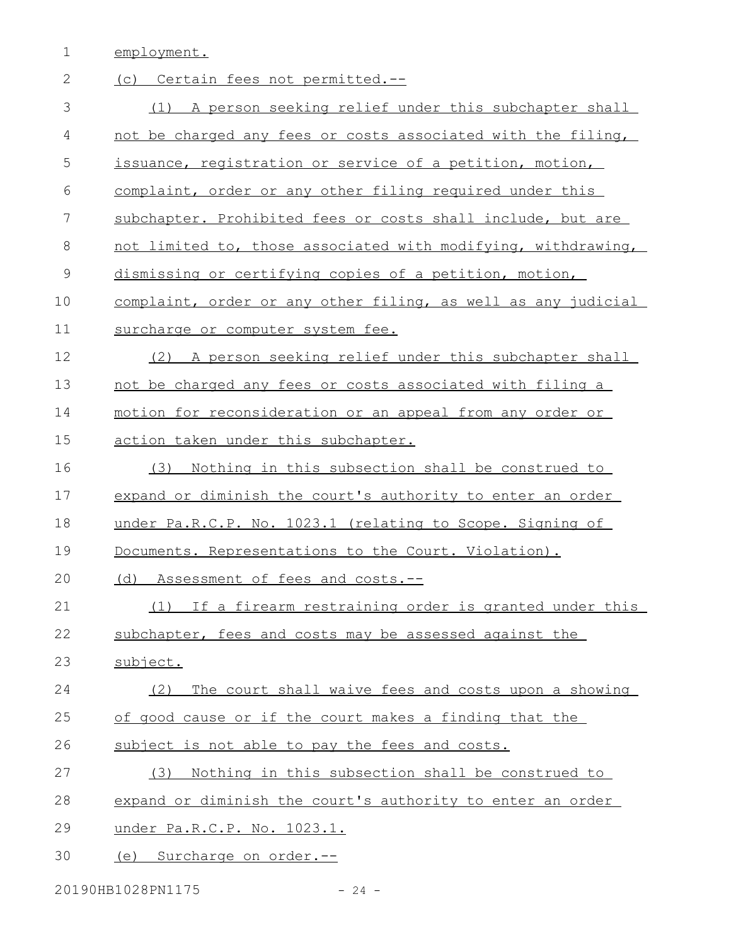1 employment.

| $\mathbf{2}$ | (c) Certain fees not permitted.--                             |
|--------------|---------------------------------------------------------------|
| 3            | (1) A person seeking relief under this subchapter shall       |
| 4            | not be charged any fees or costs associated with the filing,  |
| 5            | issuance, registration or service of a petition, motion,      |
| 6            | complaint, order or any other filing required under this      |
| 7            | subchapter. Prohibited fees or costs shall include, but are   |
| 8            | not limited to, those associated with modifying, withdrawing, |
| $\mathsf 9$  | dismissing or certifying copies of a petition, motion,        |
| 10           | complaint, order or any other filing, as well as any judicial |
| 11           | surcharge or computer system fee.                             |
| 12           | A person seeking relief under this subchapter shall<br>(2)    |
| 13           | not be charged any fees or costs associated with filing a     |
| 14           | motion for reconsideration or an appeal from any order or     |
| 15           | action taken under this subchapter.                           |
| 16           | Nothing in this subsection shall be construed to<br>(3)       |
| 17           | expand or diminish the court's authority to enter an order    |
| 18           | under Pa.R.C.P. No. 1023.1 (relating to Scope. Signing of     |
| 19           | Documents. Representations to the Court. Violation).          |
| 20           | Assessment of fees and costs.--<br>(d)                        |
| 21           | If a firearm restraining order is granted under this<br>(1)   |
| 22           | subchapter, fees and costs may be assessed against the        |
| 23           | subject.                                                      |
| 24           | The court shall waive fees and costs upon a showing<br>(2)    |
| 25           | of good cause or if the court makes a finding that the        |
| 26           | subject is not able to pay the fees and costs.                |
| 27           | Nothing in this subsection shall be construed to<br>(3)       |
| 28           | expand or diminish the court's authority to enter an order    |
| 29           | under Pa.R.C.P. No. 1023.1.                                   |
| 30           | (e) Surcharge on order.--                                     |

20190HB1028PN1175 - 24 -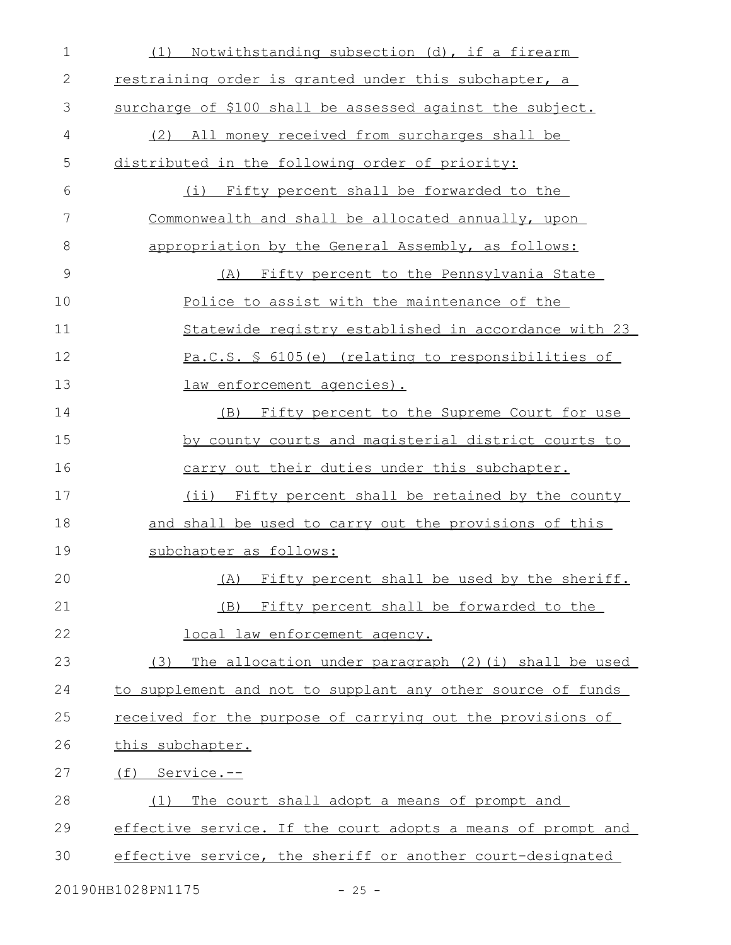| 1  | Notwithstanding subsection (d), if a firearm<br>(1)          |
|----|--------------------------------------------------------------|
| 2  | restraining order is granted under this subchapter, a        |
| 3  | surcharge of \$100 shall be assessed against the subject.    |
| 4  | (2) All money received from surcharges shall be              |
| 5  | distributed in the following order of priority:              |
| 6  | (i) Fifty percent shall be forwarded to the                  |
| 7  | Commonwealth and shall be allocated annually, upon           |
| 8  | appropriation by the General Assembly, as follows:           |
| 9  | (A) Fifty percent to the Pennsylvania State                  |
| 10 | Police to assist with the maintenance of the                 |
| 11 | Statewide registry established in accordance with 23         |
| 12 | Pa.C.S. § 6105(e) (relating to responsibilities of           |
| 13 | law enforcement agencies).                                   |
| 14 | Fifty percent to the Supreme Court for use<br>(B)            |
| 15 | by county courts and magisterial district courts to          |
| 16 | carry out their duties under this subchapter.                |
| 17 | (ii) Fifty percent shall be retained by the county           |
| 18 | and shall be used to carry out the provisions of this        |
| 19 | subchapter as follows:                                       |
| 20 | (A) Fifty percent shall be used by the sheriff.              |
| 21 | (B)<br>Fifty percent shall be forwarded to the               |
| 22 | local law enforcement agency.                                |
| 23 | (3)<br>The allocation under paragraph (2) (i) shall be used  |
| 24 | to supplement and not to supplant any other source of funds  |
| 25 | received for the purpose of carrying out the provisions of   |
| 26 | this subchapter.                                             |
| 27 | (f) Service.--                                               |
| 28 | The court shall adopt a means of prompt and<br>(1)           |
| 29 | effective service. If the court adopts a means of prompt and |
| 30 | effective service, the sheriff or another court-designated   |
|    | 20190HB1028PN1175<br>$-25 -$                                 |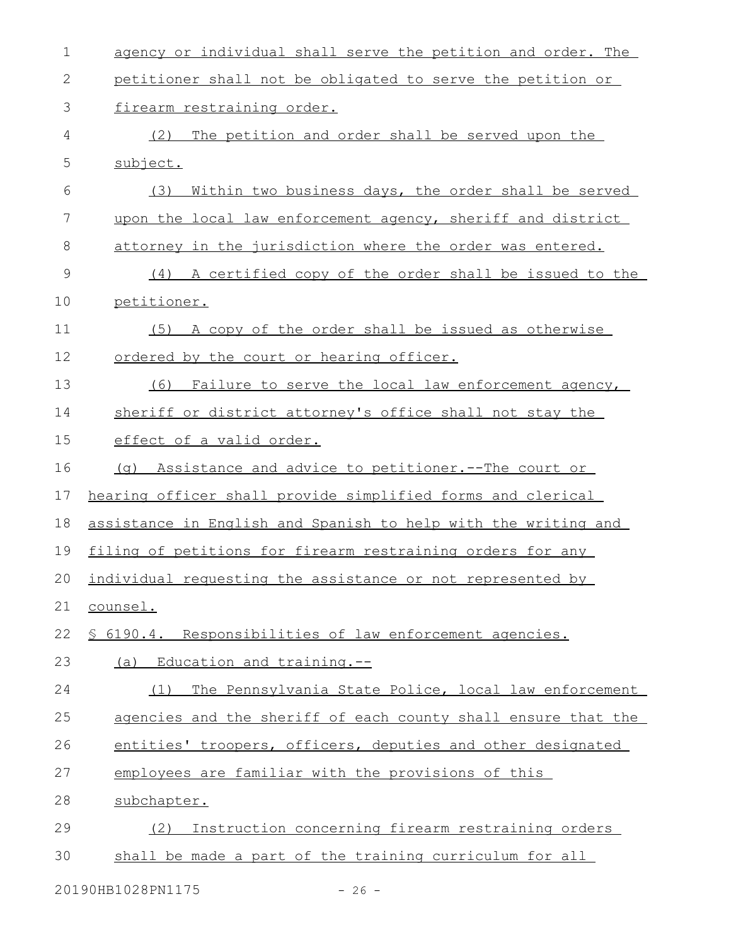| $\mathbf 1$   | agency or individual shall serve the petition and order. The   |
|---------------|----------------------------------------------------------------|
| 2             | petitioner shall not be obligated to serve the petition or     |
| 3             | firearm restraining order.                                     |
| 4             | (2)<br>The petition and order shall be served upon the         |
| 5             | subject.                                                       |
| 6             | (3)<br>Within two business days, the order shall be served     |
| 7             | upon the local law enforcement agency, sheriff and district    |
| 8             | attorney in the jurisdiction where the order was entered.      |
| $\mathcal{G}$ | (4) A certified copy of the order shall be issued to the       |
| 10            | petitioner.                                                    |
| 11            | A copy of the order shall be issued as otherwise<br>(5)        |
| 12            | ordered by the court or hearing officer.                       |
| 13            | (6)<br>Failure to serve the local law enforcement agency,      |
| 14            | sheriff or district attorney's office shall not stay the       |
| 15            | effect of a valid order.                                       |
| 16            | (g) Assistance and advice to petitioner.--The court or         |
| 17            | hearing officer shall provide simplified forms and clerical    |
| 18            | assistance in English and Spanish to help with the writing and |
| 19            | filing of petitions for firearm restraining orders for any     |
|               | 20 individual requesting the assistance or not represented by  |
| 21            | counsel.                                                       |
| 22            | \$ 6190.4. Responsibilities of law enforcement agencies.       |
| 23            | (a) Education and training.--                                  |
| 24            | The Pennsylvania State Police, local law enforcement<br>(1)    |
| 25            | agencies and the sheriff of each county shall ensure that the  |
| 26            | entities' troopers, officers, deputies and other designated    |
| 27            | employees are familiar with the provisions of this             |
| 28            | subchapter.                                                    |
| 29            | Instruction concerning firearm restraining orders<br>(2)       |
| 30            | shall be made a part of the training curriculum for all        |
|               |                                                                |

20190HB1028PN1175 - 26 -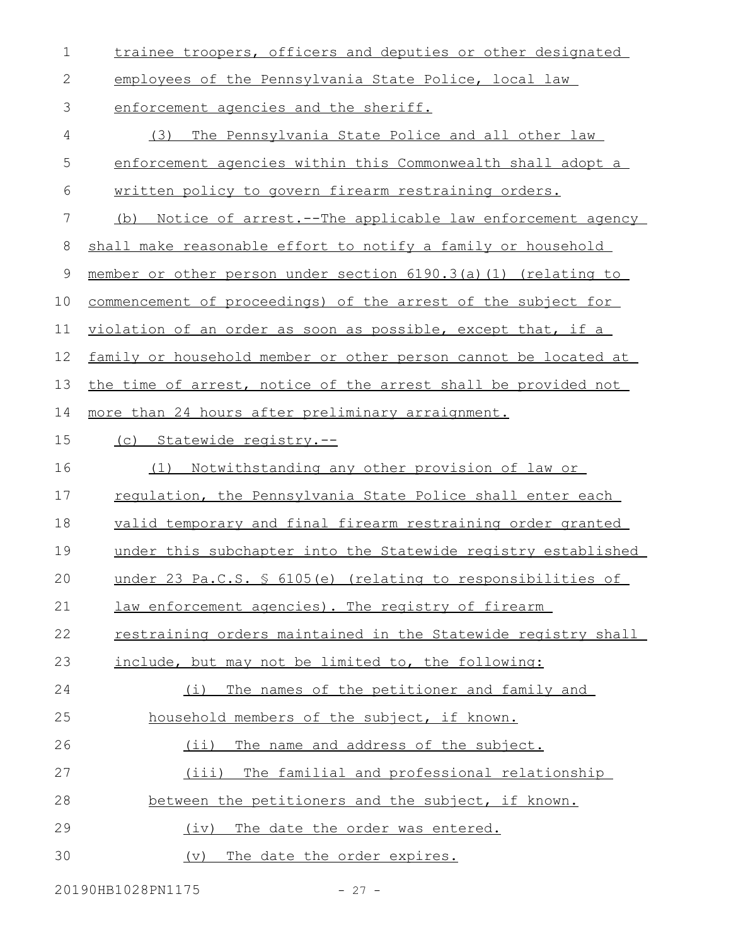| $\mathbf 1$ | trainee troopers, officers and deputies or other designated     |
|-------------|-----------------------------------------------------------------|
| 2           | employees of the Pennsylvania State Police, local law           |
| 3           | enforcement agencies and the sheriff.                           |
| 4           | The Pennsylvania State Police and all other law<br>(3)          |
| 5           | enforcement agencies within this Commonwealth shall adopt a     |
| 6           | written policy to govern firearm restraining orders.            |
| 7           | Notice of arrest.--The applicable law enforcement agency<br>(b) |
| 8           | shall make reasonable effort to notify a family or household    |
| 9           | member or other person under section 6190.3(a)(1) (relating to  |
| 10          | commencement of proceedings) of the arrest of the subject for   |
| 11          | violation of an order as soon as possible, except that, if a    |
| 12          | family or household member or other person cannot be located at |
| 13          | the time of arrest, notice of the arrest shall be provided not  |
| 14          | more than 24 hours after preliminary arraignment.               |
| 15          | (c) Statewide registry.--                                       |
| 16          | (1) Notwithstanding any other provision of law or               |
| 17          | regulation, the Pennsylvania State Police shall enter each      |
| 18          | valid temporary and final firearm restraining order granted     |
| 19          | under this subchapter into the Statewide registry established   |
| 20          | under 23 Pa.C.S. § 6105(e) (relating to responsibilities of     |
| 21          | law enforcement agencies). The registry of firearm              |
| 22          | restraining orders maintained in the Statewide registry shall   |
| 23          | include, but may not be limited to, the following:              |
| 24          | The names of the petitioner and family and<br>(i)               |
| 25          | household members of the subject, if known.                     |
| 26          | (ii) The name and address of the subject.                       |
| 27          | (iii)<br>The familial and professional relationship             |
| 28          | between the petitioners and the subject, if known.              |
| 29          | The date the order was entered.<br>(iv)                         |
| 30          | The date the order expires.<br>(v)                              |

20190HB1028PN1175 - 27 -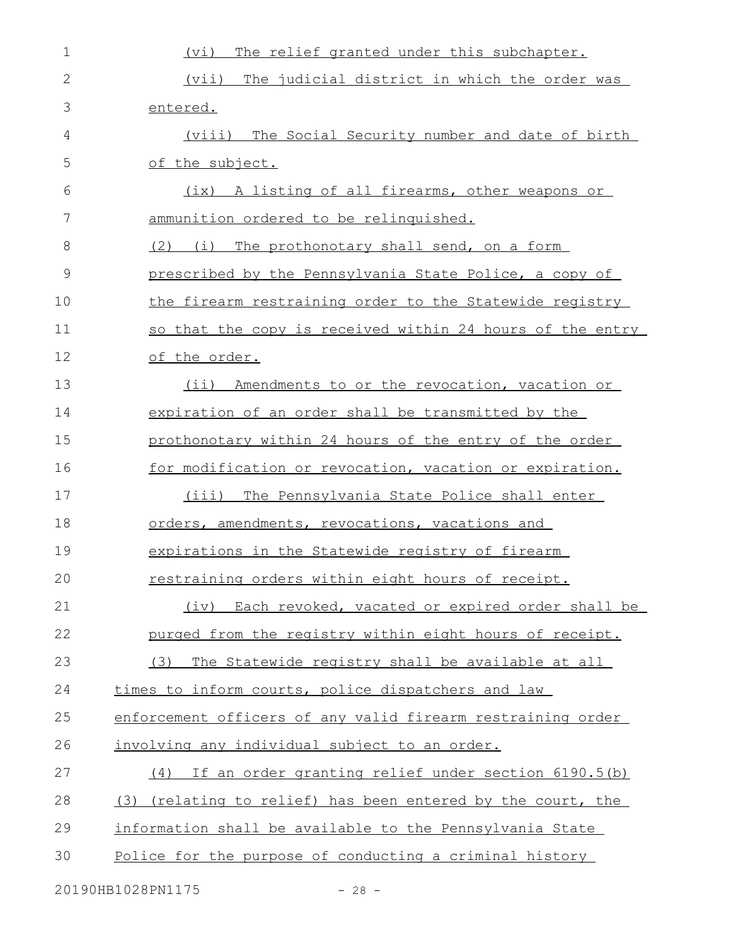| 1             | The relief granted under this subchapter.<br>(vi)           |
|---------------|-------------------------------------------------------------|
| $\mathbf{2}$  | The judicial district in which the order was<br>(vii)       |
| 3             | entered.                                                    |
| 4             | (viii) The Social Security number and date of birth         |
| 5             | of the subject.                                             |
| 6             | (ix) A listing of all firearms, other weapons or            |
| 7             | ammunition ordered to be relinquished.                      |
| 8             | (2) (i) The prothonotary shall send, on a form              |
| $\mathcal{G}$ | prescribed by the Pennsylvania State Police, a copy of      |
| 10            | the firearm restraining order to the Statewide registry     |
| 11            | so that the copy is received within 24 hours of the entry   |
| 12            | of the order.                                               |
| 13            | (ii) Amendments to or the revocation, vacation or           |
| 14            | expiration of an order shall be transmitted by the          |
| 15            | prothonotary within 24 hours of the entry of the order      |
| 16            | for modification or revocation, vacation or expiration.     |
| 17            | (iii) The Pennsylvania State Police shall enter             |
| 18            | orders, amendments, revocations, vacations and              |
| 19            | expirations in the Statewide registry of firearm            |
| 20            | restraining orders within eight hours of receipt.           |
| 21            | (iv) Each revoked, vacated or expired order shall be        |
| 22            | purged from the registry within eight hours of receipt.     |
| 23            | The Statewide registry shall be available at all<br>(3)     |
| 24            | times to inform courts, police dispatchers and law          |
| 25            | enforcement officers of any valid firearm restraining order |
| 26            | involving any individual subject to an order.               |
| 27            | (4) If an order granting relief under section 6190.5(b)     |
| 28            | (3) (relating to relief) has been entered by the court, the |
| 29            | information shall be available to the Pennsylvania State    |
| 30            | Police for the purpose of conducting a criminal history     |
|               | 20190HB1028PN1175<br>$-28 -$                                |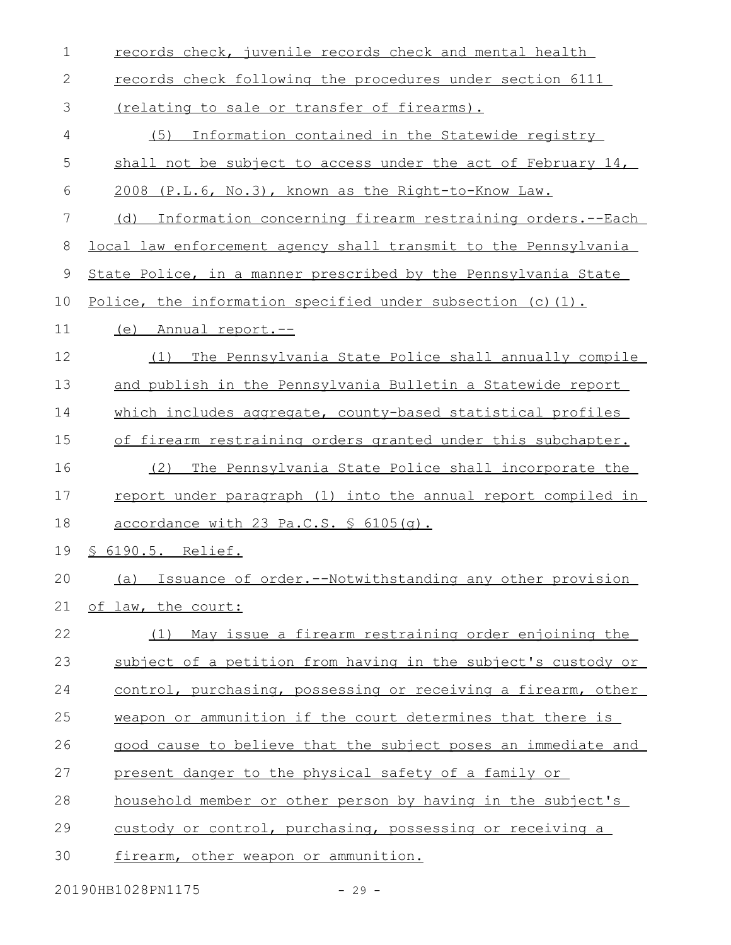| 1           | records check, juvenile records check and mental health         |
|-------------|-----------------------------------------------------------------|
| 2           | records check following the procedures under section 6111       |
| 3           | <u>(relating to sale or transfer of firearms).</u>              |
| 4           | (5)<br>Information contained in the Statewide registry          |
| 5           | shall not be subject to access under the act of February 14,    |
| 6           | 2008 (P.L.6, No.3), known as the Right-to-Know Law.             |
| 7           | Information concerning firearm restraining orders.--Each<br>(d) |
| 8           | local law enforcement agency shall transmit to the Pennsylvania |
| $\mathsf 9$ | State Police, in a manner prescribed by the Pennsylvania State  |
| 10          | Police, the information specified under subsection (c) (1).     |
| 11          | (e)<br><u>Annual report.--</u>                                  |
| 12          | The Pennsylvania State Police shall annually compile<br>(1)     |
| 13          | and publish in the Pennsylvania Bulletin a Statewide report     |
| 14          | which includes aggregate, county-based statistical profiles     |
| 15          | of firearm restraining orders granted under this subchapter.    |
| 16          | The Pennsylvania State Police shall incorporate the<br>(2)      |
| 17          | report under paragraph (1) into the annual report compiled in   |
| 18          | accordance with 23 Pa.C.S. § 6105(q).                           |
| 19          | <u>§ 6190.5. Relief.</u>                                        |
| 20          | (a) Issuance of order.--Notwithstanding any other provision     |
| 21          | of law, the court:                                              |
| 22          | (1) May issue a firearm restraining order enjoining the         |
| 23          | subject of a petition from having in the subject's custody or   |
| 24          | control, purchasing, possessing or receiving a firearm, other   |
| 25          | weapon or ammunition if the court determines that there is      |
| 26          | good cause to believe that the subject poses an immediate and   |
| 27          | present danger to the physical safety of a family or            |
| 28          | household member or other person by having in the subject's     |
| 29          | custody or control, purchasing, possessing or receiving a       |
| 30          | firearm, other weapon or ammunition.                            |

20190HB1028PN1175 - 29 -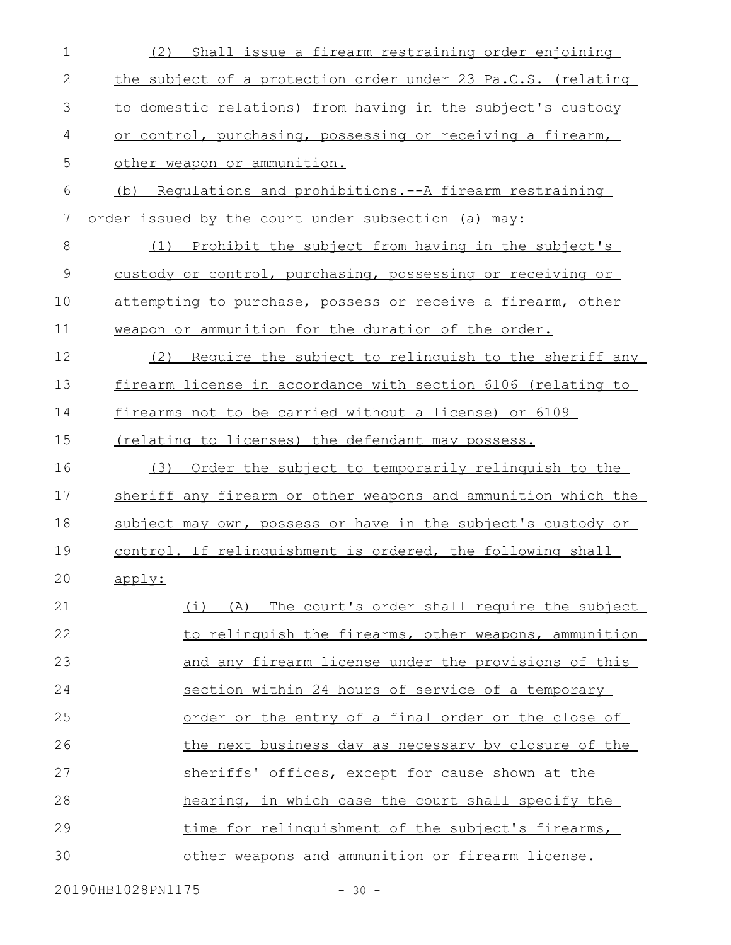| $\mathbf 1$  | (2) Shall issue a firearm restraining order enjoining         |
|--------------|---------------------------------------------------------------|
| $\mathbf{2}$ | the subject of a protection order under 23 Pa.C.S. (relating  |
| 3            | to domestic relations) from having in the subject's custody   |
| 4            | or control, purchasing, possessing or receiving a firearm,    |
| 5            | other weapon or ammunition.                                   |
| 6            | (b) Requlations and prohibitions.--A firearm restraining      |
| 7            | order issued by the court under subsection (a) may:           |
| $\,8\,$      | (1) Prohibit the subject from having in the subject's         |
| $\mathsf 9$  | custody or control, purchasing, possessing or receiving or    |
| 10           | attempting to purchase, possess or receive a firearm, other   |
| 11           | weapon or ammunition for the duration of the order.           |
| 12           | Require the subject to relinguish to the sheriff any<br>(2)   |
| 13           | firearm license in accordance with section 6106 (relating to  |
| 14           | firearms not to be carried without a license) or 6109         |
| 15           | (relating to licenses) the defendant may possess.             |
| 16           | Order the subject to temporarily relinguish to the<br>(3)     |
| 17           | sheriff any firearm or other weapons and ammunition which the |
| 18           | subject may own, possess or have in the subject's custody or  |
| 19           | control. If relinguishment is ordered, the following shall    |
| 20           | apply:                                                        |
| 21           | (i) (A) The court's order shall require the subject           |
| 22           | to relinguish the firearms, other weapons, ammunition         |
| 23           | and any firearm license under the provisions of this          |
| 24           | section within 24 hours of service of a temporary             |
| 25           | order or the entry of a final order or the close of           |
| 26           | the next business day as necessary by closure of the          |
| 27           | sheriffs' offices, except for cause shown at the              |
| 28           | hearing, in which case the court shall specify the            |
| 29           | time for relinquishment of the subject's firearms,            |
| 30           | other weapons and ammunition or firearm license.              |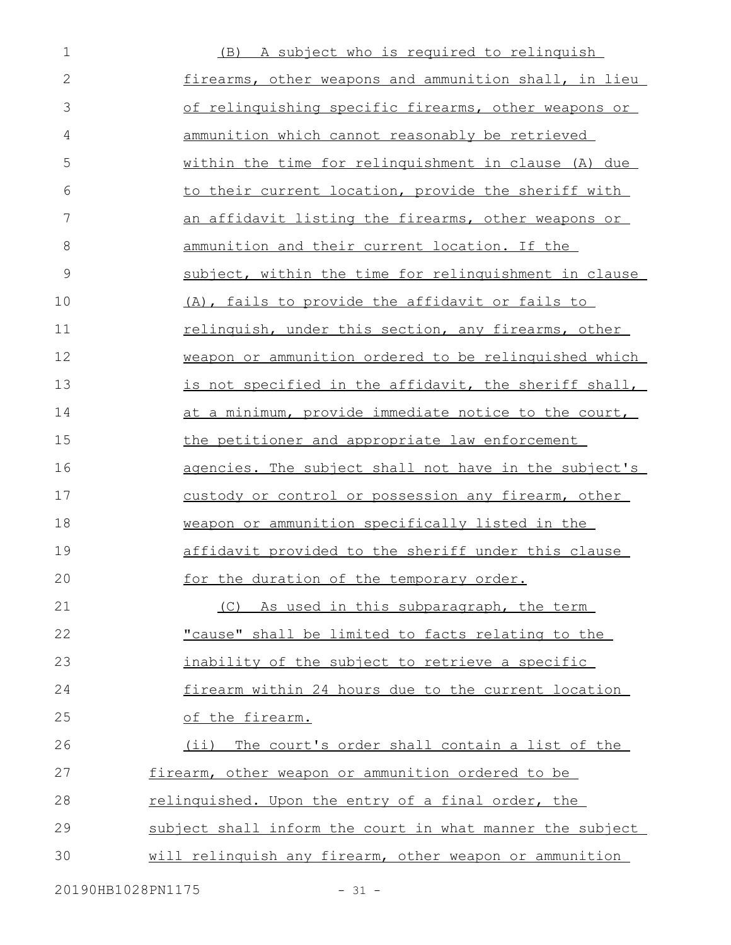| $\mathbf 1$    | (B) A subject who is required to relinquish               |
|----------------|-----------------------------------------------------------|
| $\overline{2}$ | firearms, other weapons and ammunition shall, in lieu     |
| 3              | of relinquishing specific firearms, other weapons or      |
| 4              | ammunition which cannot reasonably be retrieved           |
| 5              | within the time for relinquishment in clause (A) due      |
| 6              | to their current location, provide the sheriff with       |
| 7              | an affidavit listing the firearms, other weapons or       |
| 8              | ammunition and their current location. If the             |
| 9              | subject, within the time for relinguishment in clause     |
| 10             | (A), fails to provide the affidavit or fails to           |
| 11             | relinquish, under this section, any firearms, other       |
| 12             | weapon or ammunition ordered to be relinquished which     |
| 13             | is not specified in the affidavit, the sheriff shall,     |
| 14             | at a minimum, provide immediate notice to the court,      |
| 15             | the petitioner and appropriate law enforcement            |
| 16             | agencies. The subject shall not have in the subject's     |
| 17             | custody or control or possession any firearm, other       |
| 18             | weapon or ammunition specifically listed in the           |
| 19             | affidavit provided to the sheriff under this clause       |
| 20             | for the duration of the temporary order.                  |
| 21             | (C) As used in this subparagraph, the term                |
| 22             | "cause" shall be limited to facts relating to the         |
| 23             | inability of the subject to retrieve a specific           |
| 24             | firearm within 24 hours due to the current location       |
| 25             | of the firearm.                                           |
| 26             | (ii) The court's order shall contain a list of the        |
| 27             | firearm, other weapon or ammunition ordered to be         |
| 28             | relinguished. Upon the entry of a final order, the        |
| 29             | subject shall inform the court in what manner the subject |
| 30             | will relinquish any firearm, other weapon or ammunition   |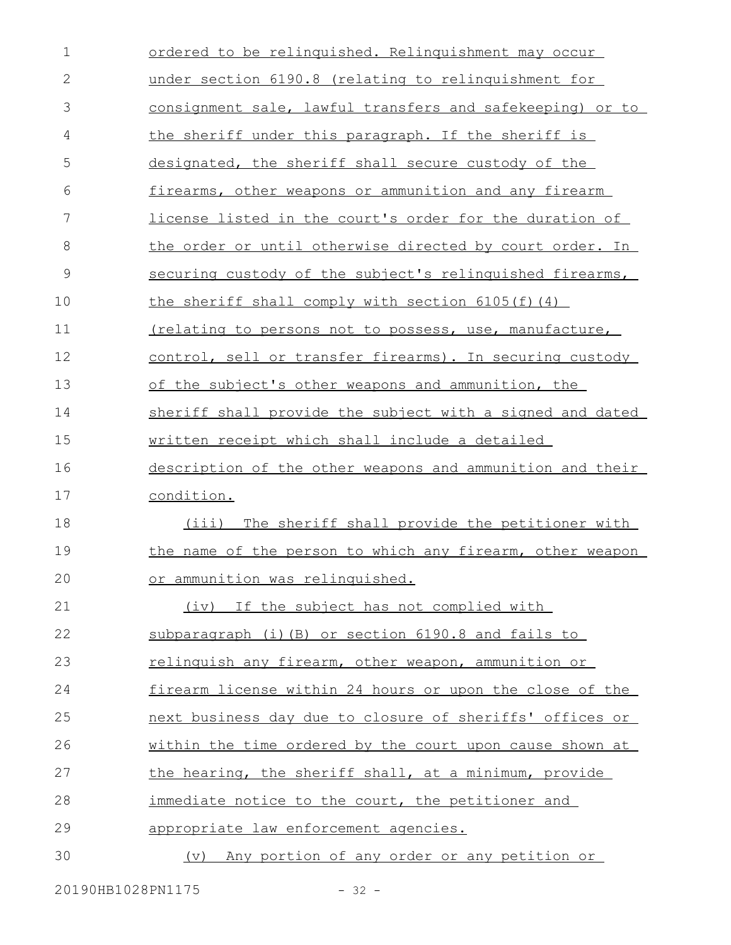| $\mathbf 1$   | ordered to be relinquished. Relinquishment may occur           |
|---------------|----------------------------------------------------------------|
| $\mathbf{2}$  | under section 6190.8 (relating to relinquishment for           |
| 3             | consignment sale, lawful transfers and safekeeping) or to      |
| 4             | the sheriff under this paragraph. If the sheriff is            |
| 5             | designated, the sheriff shall secure custody of the            |
| 6             | firearms, other weapons or ammunition and any firearm          |
| 7             | <u>license listed in the court's order for the duration of</u> |
| 8             | the order or until otherwise directed by court order. In       |
| $\mathcal{G}$ | securing custody of the subject's relinguished firearms,       |
| 10            | the sheriff shall comply with section 6105(f)(4)               |
| 11            | <u>(relating to persons not to possess, use, manufacture,</u>  |
| 12            | control, sell or transfer firearms). In securing custody       |
| 13            | of the subject's other weapons and ammunition, the             |
| 14            | sheriff shall provide the subject with a signed and dated      |
| 15            | written receipt which shall include a detailed                 |
| 16            | description of the other weapons and ammunition and their      |
| 17            | condition.                                                     |
|               |                                                                |
| 18            | (iii) The sheriff shall provide the petitioner with            |
| 19            | the name of the person to which any firearm, other weapon      |
| 20            | or ammunition was relinquished.                                |
| 21            | (iv) If the subject has not complied with                      |
| 22            | subparagraph (i) (B) or section 6190.8 and fails to            |
| 23            | relinquish any firearm, other weapon, ammunition or            |
| 24            | firearm license within 24 hours or upon the close of the       |
| 25            | next business day due to closure of sheriffs' offices or       |
| 26            | within the time ordered by the court upon cause shown at       |
| 27            | the hearing, the sheriff shall, at a minimum, provide          |
| 28            | immediate notice to the court, the petitioner and              |
| 29            | appropriate law enforcement agencies.                          |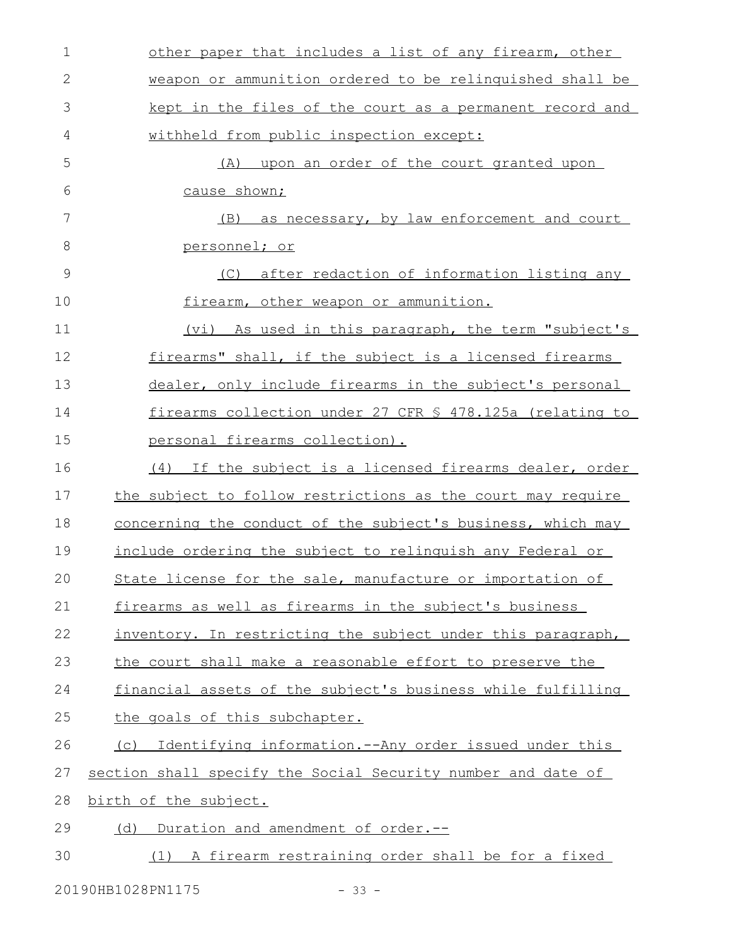| $\mathbf 1$   | other paper that includes a list of any firearm, other       |
|---------------|--------------------------------------------------------------|
| $\mathbf{2}$  | weapon or ammunition ordered to be relinquished shall be     |
| 3             | kept in the files of the court as a permanent record and     |
| 4             | withheld from public inspection except:                      |
| 5             | (A) upon an order of the court granted upon                  |
| 6             | cause shown;                                                 |
| 7             | (B) as necessary, by law enforcement and court               |
| 8             | <u>personnel; or</u>                                         |
| $\mathcal{G}$ | (C) after redaction of information listing any               |
| 10            | firearm, other weapon or ammunition.                         |
| 11            | (vi) As used in this paragraph, the term "subject's          |
| 12            | firearms" shall, if the subject is a licensed firearms       |
| 13            | dealer, only include firearms in the subject's personal      |
| 14            | firearms collection under 27 CFR § 478.125a (relating to     |
| 15            | personal firearms collection).                               |
| 16            | (4) If the subject is a licensed firearms dealer, order      |
| 17            | the subject to follow restrictions as the court may require  |
| 18            | concerning the conduct of the subject's business, which may  |
| 19            | include ordering the subject to relinguish any Federal or    |
| 20            | State license for the sale, manufacture or importation of    |
| 21            | firearms as well as firearms in the subject's business       |
| 22            | inventory. In restricting the subject under this paragraph,  |
| 23            | the court shall make a reasonable effort to preserve the     |
| 24            | financial assets of the subject's business while fulfilling  |
| 25            | the goals of this subchapter.                                |
| 26            | Identifying information.--Any order issued under this<br>(C) |
| 27            | section shall specify the Social Security number and date of |
| 28            | birth of the subject.                                        |
| 29            | Duration and amendment of order.--<br>(d)                    |
| 30            | (1) A firearm restraining order shall be for a fixed         |

20190HB1028PN1175 - 33 -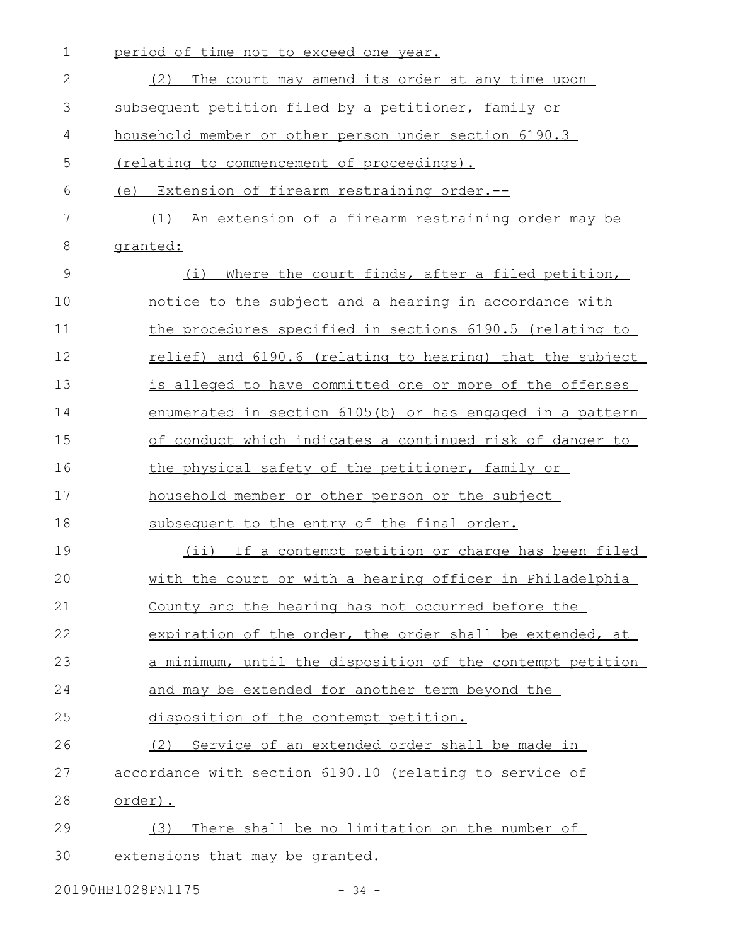| $\mathbf 1$   | period of time not to exceed one year.                    |
|---------------|-----------------------------------------------------------|
| 2             | The court may amend its order at any time upon<br>(2)     |
| 3             | subsequent petition filed by a petitioner, family or      |
| 4             | household member or other person under section 6190.3     |
| 5             | (relating to commencement of proceedings).                |
| 6             | (e) Extension of firearm restraining order.--             |
| 7             | An extension of a firearm restraining order may be<br>(1) |
| 8             | granted:                                                  |
| $\mathcal{G}$ | (i)<br>Where the court finds, after a filed petition,     |
| 10            | notice to the subject and a hearing in accordance with    |
| 11            | the procedures specified in sections 6190.5 (relating to  |
| 12            | relief) and 6190.6 (relating to hearing) that the subject |
| 13            | is alleged to have committed one or more of the offenses  |
| 14            | enumerated in section 6105(b) or has engaged in a pattern |
| 15            | of conduct which indicates a continued risk of danger to  |
| 16            | the physical safety of the petitioner, family or          |
| 17            | household member or other person or the subject           |
| 18            | subsequent to the entry of the final order.               |
| 19            | (ii) If a contempt petition or charge has been filed      |
| 20            | with the court or with a hearing officer in Philadelphia  |
| 21            | County and the hearing has not occurred before the        |
| 22            | expiration of the order, the order shall be extended, at  |
| 23            | a minimum, until the disposition of the contempt petition |
| 24            | and may be extended for another term beyond the           |
| 25            | disposition of the contempt petition.                     |
| 26            | (2) Service of an extended order shall be made in         |
| 27            | accordance with section 6190.10 (relating to service of   |
| 28            | order).                                                   |
| 29            | There shall be no limitation on the number of<br>(3)      |
| 30            | extensions that may be granted.                           |

20190HB1028PN1175 - 34 -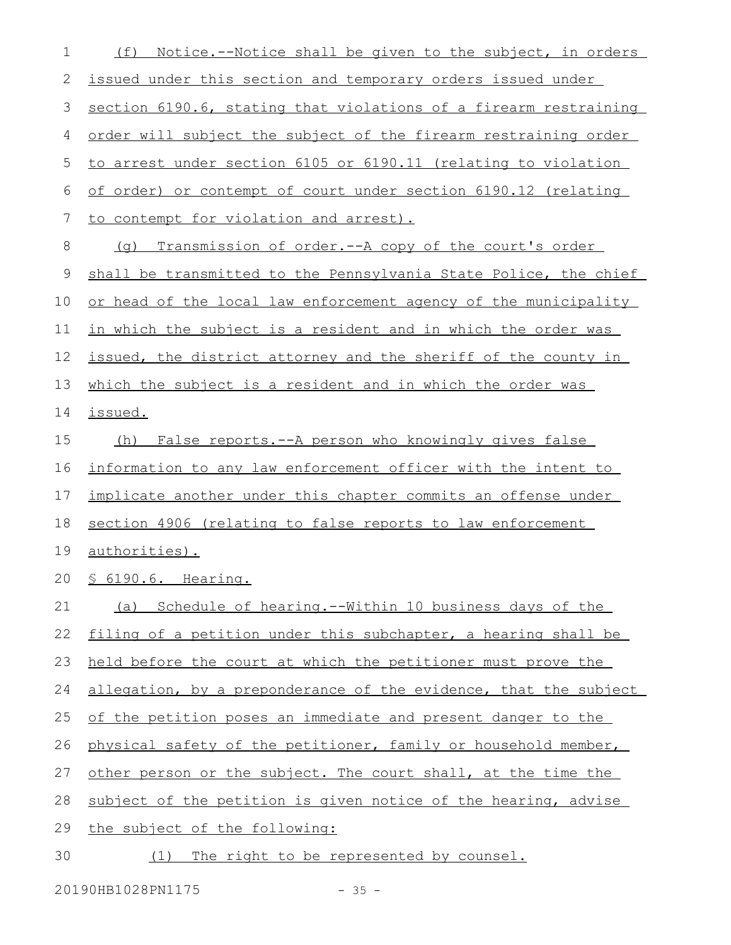| 1           | Notice.--Notice shall be given to the subject, in orders<br>(f)  |
|-------------|------------------------------------------------------------------|
| 2           | issued under this section and temporary orders issued under      |
| 3           | section 6190.6, stating that violations of a firearm restraining |
| 4           | order will subject the subject of the firearm restraining order  |
| 5           | to arrest under section 6105 or 6190.11 (relating to violation   |
| 6           | of order) or contempt of court under section 6190.12 (relating   |
| 7           | to contempt for violation and arrest).                           |
| 8           | Transmission of order.--A copy of the court's order<br>( ) ( )   |
| $\mathsf 9$ | shall be transmitted to the Pennsylvania State Police, the chief |
| 10          | or head of the local law enforcement agency of the municipality  |
| 11          | in which the subject is a resident and in which the order was    |
| 12          | issued, the district attorney and the sheriff of the county in   |
| 13          | which the subject is a resident and in which the order was       |
| 14          | issued.                                                          |
| 15          | False reports.--A person who knowingly gives false<br>(h)        |
| 16          | information to any law enforcement officer with the intent to    |
| 17          | implicate another under this chapter commits an offense under    |
| 18          | section 4906 (relating to false reports to law enforcement       |
| 19          | <u>authorities).</u>                                             |
| 20          | 6190.6. Hearing.<br>$S_{-}$                                      |
| 21          | (a) Schedule of hearing.--Within 10 business days of the         |
| 22          | filing of a petition under this subchapter, a hearing shall be   |
| 23          | held before the court at which the petitioner must prove the     |
| 24          | allegation, by a preponderance of the evidence, that the subject |
| 25          | of the petition poses an immediate and present danger to the     |
| 26          | physical safety of the petitioner, family or household member,   |
| 27          | other person or the subject. The court shall, at the time the    |
| 28          | subject of the petition is given notice of the hearing, advise   |
| 29          | the subject of the following:                                    |
| 30          | (1) The right to be represented by counsel.                      |

20190HB1028PN1175 - 35 -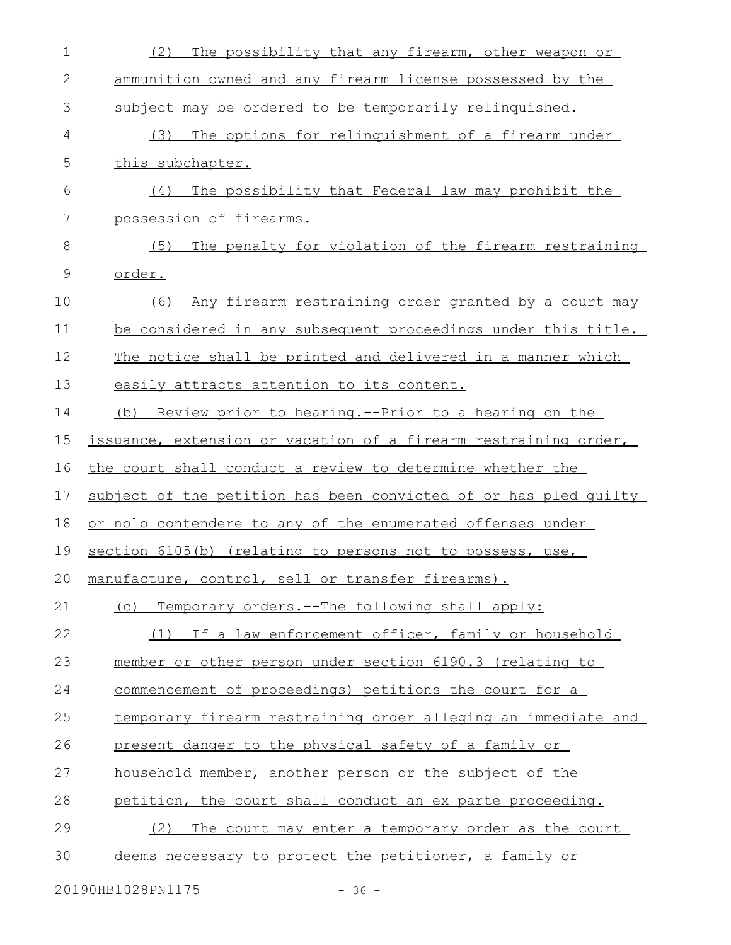| $\mathbf 1$  | The possibility that any firearm, other weapon or<br>(2)          |
|--------------|-------------------------------------------------------------------|
| $\mathbf{2}$ | ammunition owned and any firearm license possessed by the         |
| 3            | subject may be ordered to be temporarily relinquished.            |
| 4            | The options for relinquishment of a firearm under<br>(3)          |
| 5            | this subchapter.                                                  |
| 6            | (4)<br>The possibility that Federal law may prohibit the          |
| 7            | possession of firearms.                                           |
| 8            | The penalty for violation of the firearm restraining<br>(5)       |
| 9            | order.                                                            |
| 10           | (6)<br>Any firearm restraining order granted by a court may       |
| 11           | be considered in any subsequent proceedings under this title.     |
| 12           | The notice shall be printed and delivered in a manner which       |
| 13           | easily attracts attention to its content.                         |
| 14           | <u>Review prior to hearing.--Prior to a hearing on the</u><br>(b) |
| 15           | issuance, extension or vacation of a firearm restraining order,   |
| 16           | the court shall conduct a review to determine whether the         |
| 17           | subject of the petition has been convicted of or has pled quilty  |
| 18           | or nolo contendere to any of the enumerated offenses under        |
| 19           | section 6105(b) (relating to persons not to possess, use,         |
| 20           | manufacture, control, sell or transfer firearms).                 |
| 21           | (c) Temporary orders.--The following shall apply:                 |
| 22           | If a law enforcement officer, family or household<br>(1)          |
| 23           | member or other person under section 6190.3 (relating to          |
| 24           | commencement of proceedings) petitions the court for a            |
| 25           | temporary firearm restraining order alleging an immediate and     |
| 26           | present danger to the physical safety of a family or              |
| 27           | household member, another person or the subject of the            |
| 28           | petition, the court shall conduct an ex parte proceeding.         |
| 29           | The court may enter a temporary order as the court<br>(2)         |
| 30           | deems necessary to protect the petitioner, a family or            |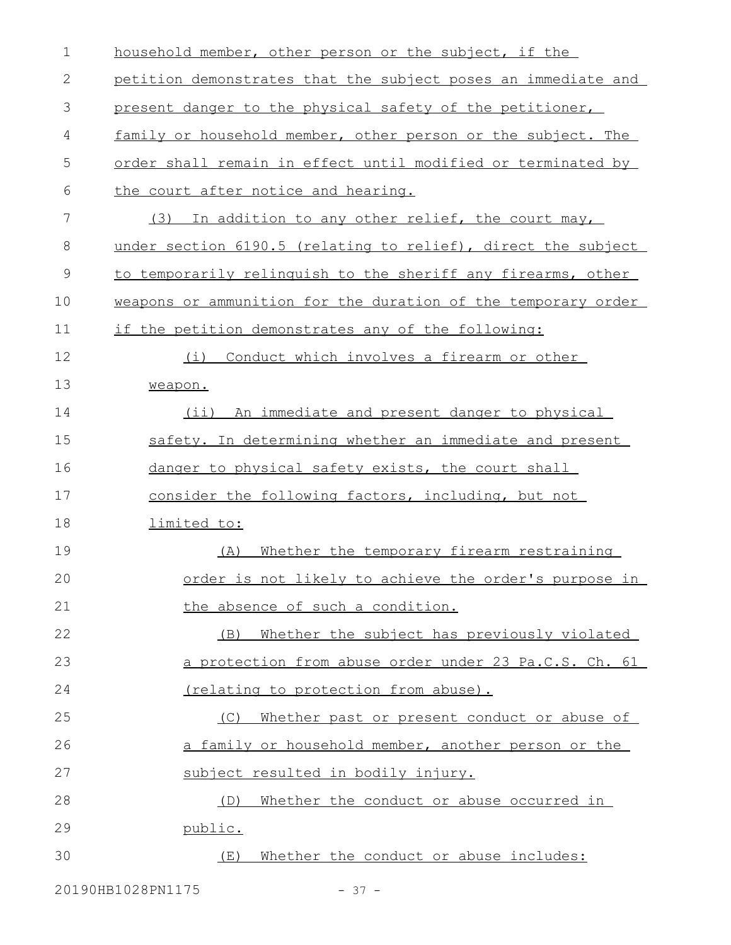| $\mathbf 1$ | household member, other person or the subject, if the         |
|-------------|---------------------------------------------------------------|
| 2           | petition demonstrates that the subject poses an immediate and |
| 3           | present danger to the physical safety of the petitioner,      |
| 4           | family or household member, other person or the subject. The  |
| 5           | order shall remain in effect until modified or terminated by  |
| 6           | the court after notice and hearing.                           |
| 7           | In addition to any other relief, the court may,<br>(3)        |
| 8           | under section 6190.5 (relating to relief), direct the subject |
| $\mathsf 9$ | to temporarily relinquish to the sheriff any firearms, other  |
| 10          | weapons or ammunition for the duration of the temporary order |
| 11          | if the petition demonstrates any of the following:            |
| 12          | Conduct which involves a firearm or other<br>(i)              |
| 13          | weapon.                                                       |
| 14          | An immediate and present danger to physical<br>$(i$ i)        |
| 15          | safety. In determining whether an immediate and present       |
| 16          | danger to physical safety exists, the court shall             |
| 17          | consider the following factors, including, but not            |
| 18          | limited to:                                                   |
| 19          | Whether the temporary firearm restraining<br>(A)              |
| 20          | order is not likely to achieve the order's purpose in         |
| 21          | the absence of such a condition.                              |
| 22          | Whether the subject has previously violated<br>(B)            |
| 23          | a protection from abuse order under 23 Pa.C.S. Ch. 61         |
| 24          | (relating to protection from abuse).                          |
| 25          | Whether past or present conduct or abuse of<br>(C)            |
| 26          | a family or household member, another person or the           |
| 27          | subject resulted in bodily injury.                            |
| 28          | Whether the conduct or abuse occurred in<br>(D)               |
| 29          | public.                                                       |
| 30          | Whether the conduct or abuse includes:<br>(E)                 |
|             |                                                               |

20190HB1028PN1175 - 37 -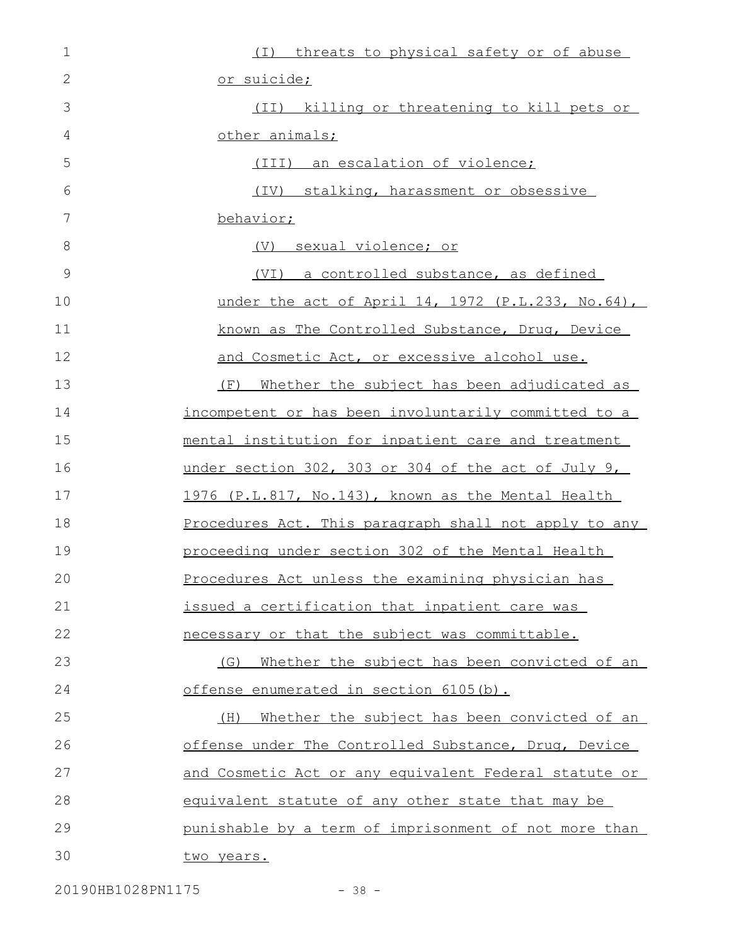| $\mathbf 1$ | (I) threats to physical safety or of abuse            |
|-------------|-------------------------------------------------------|
| 2           | <u>or suicide;</u>                                    |
| 3           | (II) killing or threatening to kill pets or           |
| 4           | other animals;                                        |
| 5           | (III) an escalation of violence;                      |
| 6           | (IV) stalking, harassment or obsessive                |
| 7           | behavior;                                             |
| $8\,$       | (V) sexual violence; or                               |
| 9           | (VI) a controlled substance, as defined               |
| 10          | under the act of April 14, 1972 (P.L.233, No.64),     |
| 11          | known as The Controlled Substance, Drug, Device       |
| 12          | and Cosmetic Act, or excessive alcohol use.           |
| 13          | Whether the subject has been adjudicated as<br>(F)    |
| 14          | incompetent or has been involuntarily committed to a  |
| 15          | mental institution for inpatient care and treatment   |
| 16          | under section 302, 303 or 304 of the act of July 9,   |
| 17          | 1976 (P.L.817, No.143), known as the Mental Health    |
| 18          | Procedures Act. This paragraph shall not apply to any |
| 19          | proceeding under section 302 of the Mental Health     |
| 20          | Procedures Act unless the examining physician has     |
| 21          | issued a certification that inpatient care was        |
| 22          | necessary or that the subject was committable.        |
| 23          | (G) Whether the subject has been convicted of an      |
| 24          | offense enumerated in section 6105(b).                |
| 25          | Whether the subject has been convicted of an<br>(H)   |
| 26          | offense under The Controlled Substance, Drug, Device  |
| 27          | and Cosmetic Act or any equivalent Federal statute or |
| 28          | equivalent statute of any other state that may be     |
| 29          | punishable by a term of imprisonment of not more than |
| 30          | two years.                                            |

20190HB1028PN1175 - 38 -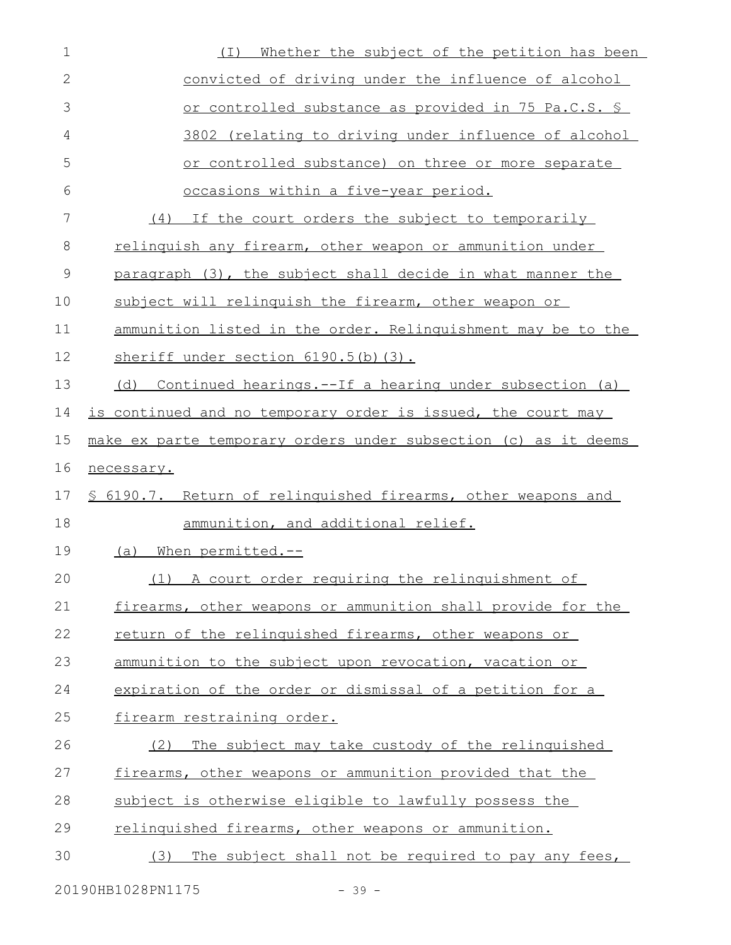| $\mathbf 1$  | Whether the subject of the petition has been<br>( I )           |
|--------------|-----------------------------------------------------------------|
| $\mathbf{2}$ | convicted of driving under the influence of alcohol             |
| 3            | or controlled substance as provided in 75 Pa.C.S. §             |
| 4            | 3802 (relating to driving under influence of alcohol            |
| 5            | or controlled substance) on three or more separate              |
| 6            | occasions within a five-year period.                            |
| 7            | (4) If the court orders the subject to temporarily              |
| 8            | relinquish any firearm, other weapon or ammunition under        |
| 9            | paragraph (3), the subject shall decide in what manner the      |
| 10           | subject will relinguish the firearm, other weapon or            |
| 11           | ammunition listed in the order. Relinguishment may be to the    |
| 12           | sheriff under section 6190.5(b)(3).                             |
| 13           | Continued hearings.--If a hearing under subsection (a)<br>(d)   |
| 14           | is continued and no temporary order is issued, the court may    |
| 15           | make ex parte temporary orders under subsection (c) as it deems |
| 16           | necessary.                                                      |
| 17           | \$ 6190.7. Return of relinguished firearms, other weapons and   |
| 18           | ammunition, and additional relief.                              |
| 19           | When permitted.--<br>(a)                                        |
| 20           | (1) A court order requiring the relinquishment of               |
| 21           | firearms, other weapons or ammunition shall provide for the     |
| 22           | return of the relinguished firearms, other weapons or           |
| 23           | ammunition to the subject upon revocation, vacation or          |
| 24           | expiration of the order or dismissal of a petition for a        |
| 25           | firearm restraining order.                                      |
| 26           | (2)<br>The subject may take custody of the relinguished         |
| 27           | firearms, other weapons or ammunition provided that the         |
| 28           | subject is otherwise eligible to lawfully possess the           |
| 29           | relinquished firearms, other weapons or ammunition.             |
| 30           | The subject shall not be required to pay any fees,<br>(3)       |
|              | 20190HB1028PN1175<br>$-39-$                                     |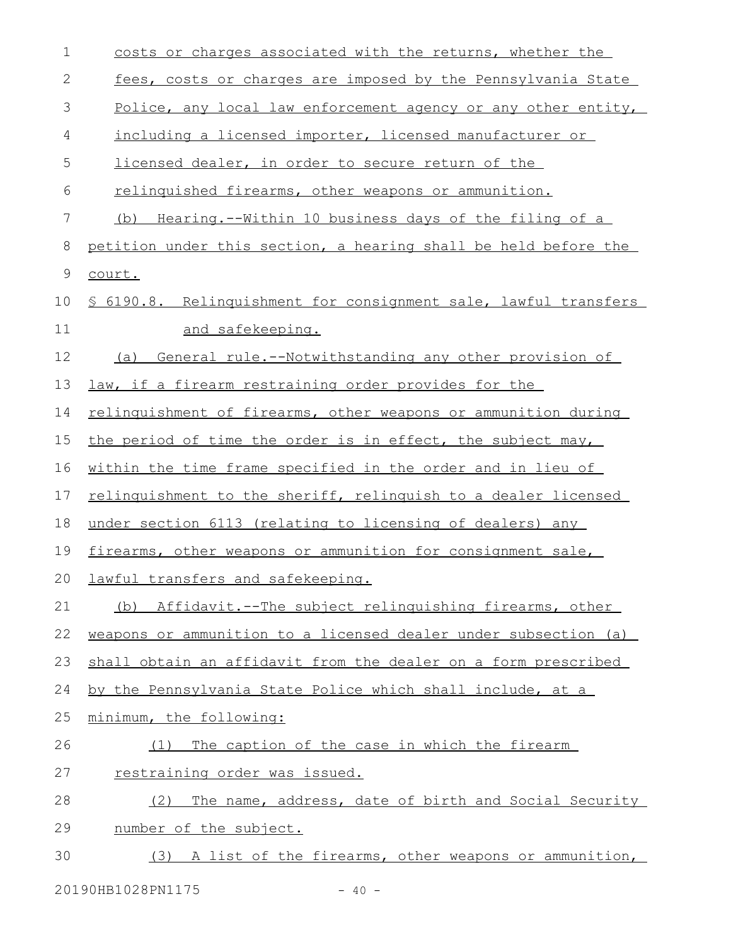| 1               | costs or charges associated with the returns, whether the        |
|-----------------|------------------------------------------------------------------|
| $\mathbf{2}$    | fees, costs or charges are imposed by the Pennsylvania State     |
| 3               | Police, any local law enforcement agency or any other entity,    |
| 4               | including a licensed importer, licensed manufacturer or          |
| 5               | licensed dealer, in order to secure return of the                |
| 6               | relinguished firearms, other weapons or ammunition.              |
| $7\phantom{.0}$ | Hearing.--Within 10 business days of the filing of a<br>(b)      |
| 8               | petition under this section, a hearing shall be held before the  |
| $\mathsf 9$     | court.                                                           |
| 10              | \$ 6190.8. Relinquishment for consignment sale, lawful transfers |
| 11              | and safekeeping.                                                 |
| 12              | General rule.--Notwithstanding any other provision of<br>(a)     |
| 13              | law, if a firearm restraining order provides for the             |
| 14              | relinguishment of firearms, other weapons or ammunition during   |
| 15              | the period of time the order is in effect, the subject may,      |
| 16              | within the time frame specified in the order and in lieu of      |
| 17              | relinguishment to the sheriff, relinguish to a dealer licensed   |
| 18              | under section 6113 (relating to licensing of dealers) any        |
| 19              | firearms, other weapons or ammunition for consignment sale,      |
| 20              | lawful transfers and safekeeping.                                |
| 21              | Affidavit.--The subject relinguishing firearms, other<br>(b)     |
| 22              | weapons or ammunition to a licensed dealer under subsection (a)  |
| 23              | shall obtain an affidavit from the dealer on a form prescribed   |
| 24              | by the Pennsylvania State Police which shall include, at a       |
| 25              | minimum, the following:                                          |
| 26              | The caption of the case in which the firearm<br>(1)              |
| 27              | restraining order was issued.                                    |
| 28              | The name, address, date of birth and Social Security<br>(2)      |
| 29              | number of the subject.                                           |
| 30              | (3) A list of the firearms, other weapons or ammunition,         |

20190HB1028PN1175 - 40 -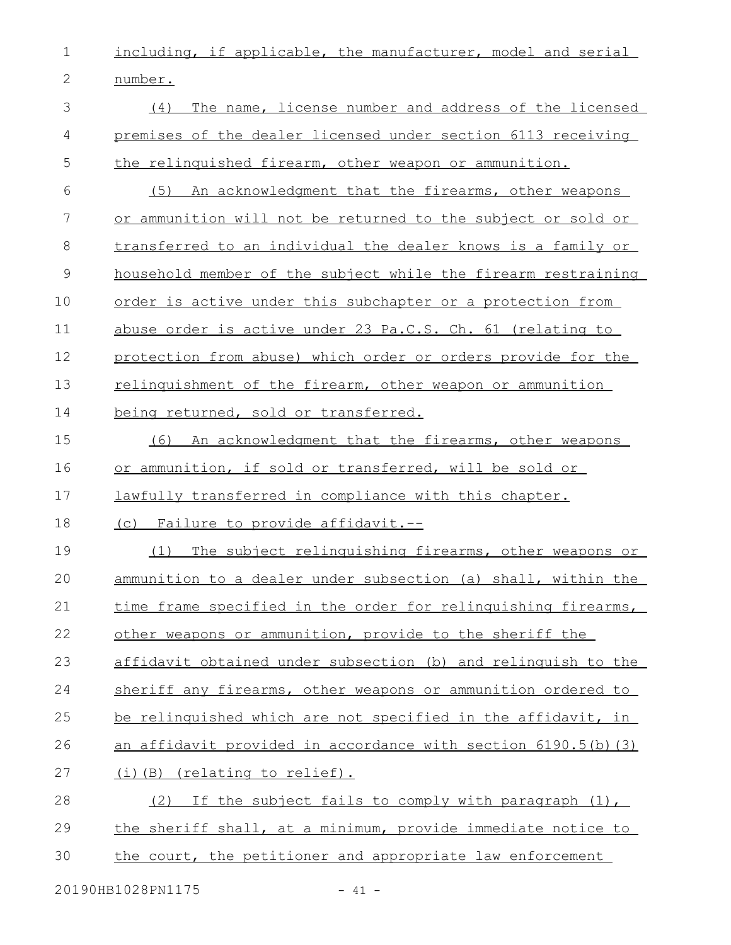1 **including, if applicable, the manufacturer, model and serial** 

2 number.

| 3              | The name, license number and address of the licensed<br>(4)          |
|----------------|----------------------------------------------------------------------|
|                |                                                                      |
| 4              | premises of the dealer licensed under section 6113 receiving         |
| 5              | the relinquished firearm, other weapon or ammunition.                |
| 6              | (5) An acknowledgment that the firearms, other weapons               |
| 7              | or ammunition will not be returned to the subject or sold or         |
| 8              | transferred to an individual the dealer knows is a family or         |
| $\overline{9}$ | household member of the subject while the firearm restraining        |
| 10             | order is active under this subchapter or a protection from           |
| 11             | abuse order is active under 23 Pa.C.S. Ch. 61 (relating to           |
| 12             | protection from abuse) which order or orders provide for the         |
| 13             | relinguishment of the firearm, other weapon or ammunition            |
| 14             | being returned, sold or transferred.                                 |
| 15             | (6)<br>An acknowledgment that the firearms, other weapons            |
| 16             | or ammunition, if sold or transferred, will be sold or               |
| 17             | lawfully transferred in compliance with this chapter.                |
| 18             | (c) Failure to provide affidavit.--                                  |
| 19             | The subject relinguishing firearms, other weapons or<br>(1)          |
| 20             | ammunition to a dealer under subsection (a) shall, within the        |
| 21             | time frame specified in the order for relinguishing firearms,        |
| 22             | other weapons or ammunition, provide to the sheriff the              |
| 23             | affidavit obtained under subsection (b) and relinquish to the        |
| 24             | sheriff any firearms, other weapons or ammunition ordered to         |
| 25             | be relinquished which are not specified in the affidavit, in         |
| 26             | <u>an affidavit provided in accordance with section 6190.5(b)(3)</u> |
| 27             | (i)(B) (relating to relief).                                         |
| 28             | (2)<br>If the subject fails to comply with paragraph (1),            |
| 29             | the sheriff shall, at a minimum, provide immediate notice to         |
| 30             | the court, the petitioner and appropriate law enforcement            |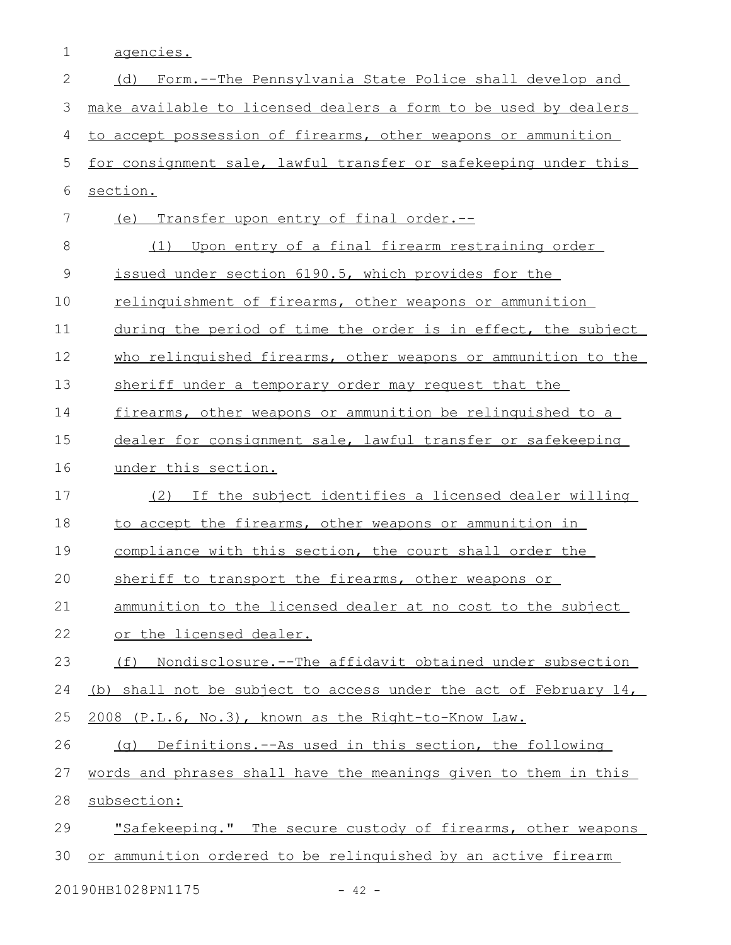1 agencies.

| $\mathbf{2}$  | (d) Form.--The Pennsylvania State Police shall develop and            |
|---------------|-----------------------------------------------------------------------|
| 3             | make available to licensed dealers a form to be used by dealers       |
| 4             | to accept possession of firearms, other weapons or ammunition         |
| 5             | for consignment sale, lawful transfer or safekeeping under this       |
| $6\,$         | section.                                                              |
| 7             | (e) Transfer upon entry of final order.--                             |
| 8             | Upon entry of a final firearm restraining order<br>(1)                |
| $\mathcal{G}$ | issued under section 6190.5, which provides for the                   |
| 10            | relinguishment of firearms, other weapons or ammunition               |
| 11            | during the period of time the order is in effect, the subject         |
| 12            | who relinquished firearms, other weapons or ammunition to the         |
| 13            | sheriff under a temporary order may request that the                  |
| 14            | firearms, other weapons or ammunition be relinguished to a            |
| 15            | dealer for consignment sale, lawful transfer or safekeeping           |
| 16            | under this section.                                                   |
| 17            | If the subject identifies a licensed dealer willing<br>(2)            |
| 18            | to accept the firearms, other weapons or ammunition in                |
| 19            | compliance with this section, the court shall order the               |
| 20            | sheriff to transport the firearms, other weapons or                   |
| 21            | ammunition to the licensed dealer at no cost to the subject           |
| 22            | or the licensed dealer.                                               |
| 23            | <u>Nondisclosure.--The affidavit obtained under subsection</u><br>(f) |
| 24            | (b) shall not be subject to access under the act of February 14,      |
| 25            | 2008 (P.L.6, No.3), known as the Right-to-Know Law.                   |
| 26            | (g) Definitions.--As used in this section, the following              |
| 27            | words and phrases shall have the meanings given to them in this       |
| 28            | subsection:                                                           |
| 29            | "Safekeeping." The secure custody of firearms, other weapons          |
| 30            | or ammunition ordered to be relinguished by an active firearm         |
|               | 20190HB1028PN1175<br>$-42 -$                                          |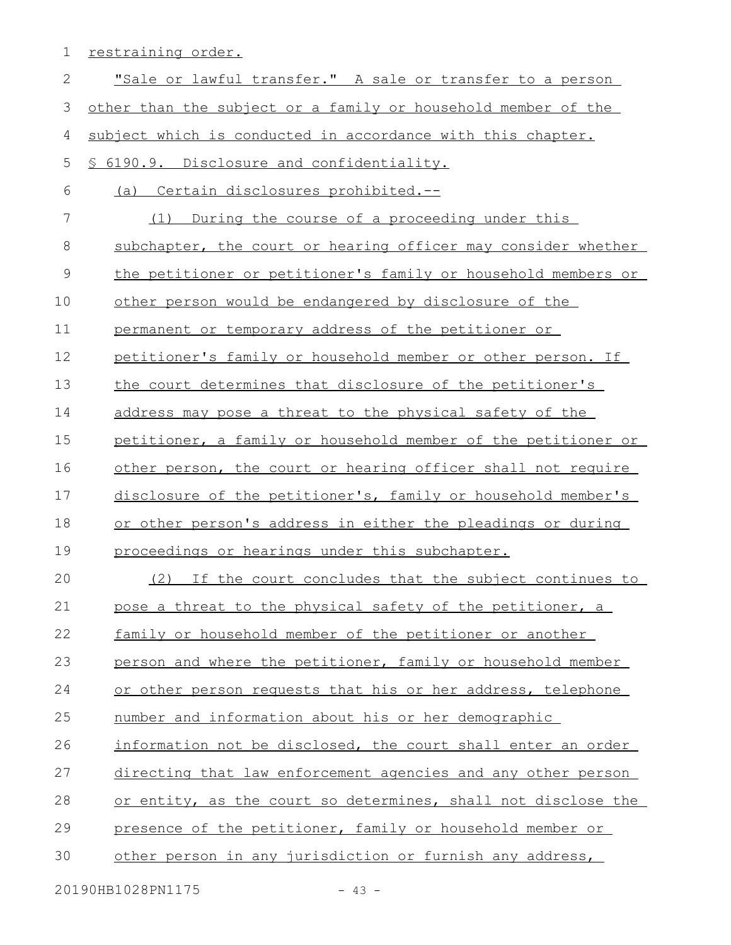1 restraining order.

| $\mathbf{2}$ | "Sale or lawful transfer." A sale or transfer to a person     |
|--------------|---------------------------------------------------------------|
| 3            | other than the subject or a family or household member of the |
| 4            | subject which is conducted in accordance with this chapter.   |
| 5            | § 6190.9. Disclosure and confidentiality.                     |
| 6            | (a) Certain disclosures prohibited.--                         |
| 7            | (1) During the course of a proceeding under this              |
| 8            | subchapter, the court or hearing officer may consider whether |
| 9            | the petitioner or petitioner's family or household members or |
| 10           | other person would be endangered by disclosure of the         |
| 11           | permanent or temporary address of the petitioner or           |
| 12           | petitioner's family or household member or other person. If   |
| 13           | the court determines that disclosure of the petitioner's      |
| 14           | address may pose a threat to the physical safety of the       |
| 15           | petitioner, a family or household member of the petitioner or |
| 16           | other person, the court or hearing officer shall not require  |
| 17           | disclosure of the petitioner's, family or household member's  |
| 18           | or other person's address in either the pleadings or during   |
| 19           | proceedings or hearings under this subchapter.                |
| 20           | If the court concludes that the subject continues to<br>(2)   |
| 21           | pose a threat to the physical safety of the petitioner, a     |
| 22           | family or household member of the petitioner or another       |
| 23           | person and where the petitioner, family or household member   |
| 24           | or other person requests that his or her address, telephone   |
| 25           | number and information about his or her demographic           |
| 26           | information not be disclosed, the court shall enter an order  |
| 27           | directing that law enforcement agencies and any other person  |
| 28           | or entity, as the court so determines, shall not disclose the |
| 29           | presence of the petitioner, family or household member or     |
| 30           | other person in any jurisdiction or furnish any address,      |
|              |                                                               |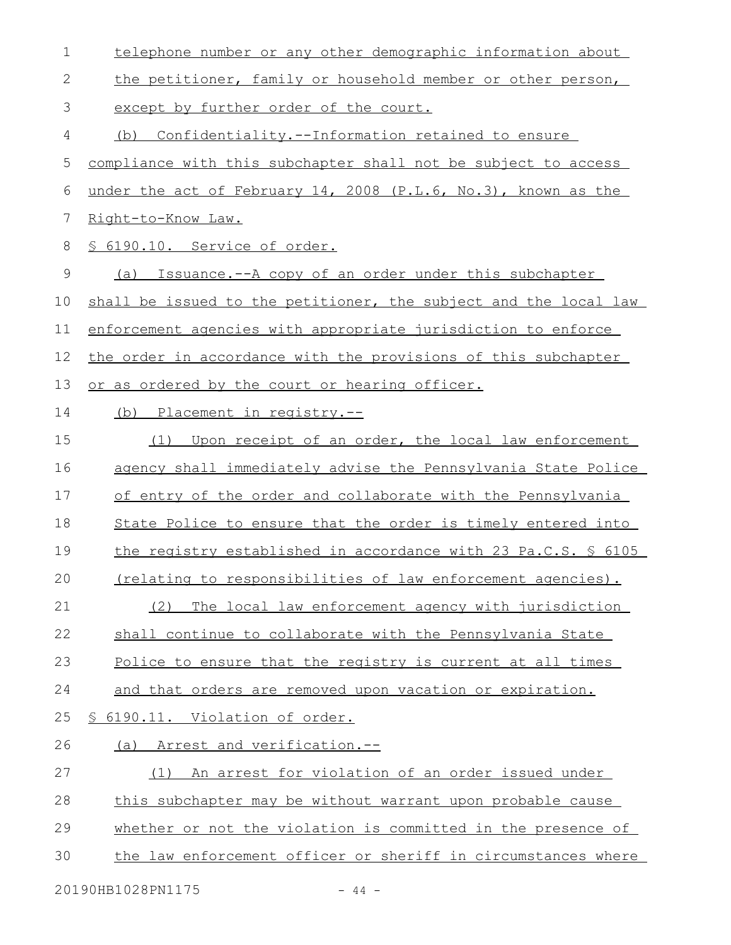| $\mathbf 1$  | telephone number or any other demographic information about      |  |  |  |  |  |  |
|--------------|------------------------------------------------------------------|--|--|--|--|--|--|
| $\mathbf{2}$ | the petitioner, family or household member or other person,      |  |  |  |  |  |  |
| 3            | except by further order of the court.                            |  |  |  |  |  |  |
| 4            | Confidentiality.--Information retained to ensure<br>(b)          |  |  |  |  |  |  |
| 5            | compliance with this subchapter shall not be subject to access   |  |  |  |  |  |  |
| 6            | under the act of February 14, 2008 (P.L.6, No.3), known as the   |  |  |  |  |  |  |
| 7            | Right-to-Know Law.                                               |  |  |  |  |  |  |
| 8            | § 6190.10. Service of order.                                     |  |  |  |  |  |  |
| $\mathsf 9$  | Issuance.--A copy of an order under this subchapter<br>(a)       |  |  |  |  |  |  |
| 10           | shall be issued to the petitioner, the subject and the local law |  |  |  |  |  |  |
| 11           | enforcement agencies with appropriate jurisdiction to enforce    |  |  |  |  |  |  |
| 12           | the order in accordance with the provisions of this subchapter   |  |  |  |  |  |  |
| 13           | or as ordered by the court or hearing officer.                   |  |  |  |  |  |  |
| 14           | (b) Placement in registry.--                                     |  |  |  |  |  |  |
| 15           | Upon receipt of an order, the local law enforcement<br>(1)       |  |  |  |  |  |  |
| 16           | agency shall immediately advise the Pennsylvania State Police    |  |  |  |  |  |  |
| 17           | of entry of the order and collaborate with the Pennsylvania      |  |  |  |  |  |  |
| 18           | State Police to ensure that the order is timely entered into     |  |  |  |  |  |  |
| 19           | the registry established in accordance with 23 Pa.C.S. \$ 6105   |  |  |  |  |  |  |
| 20           | (relating to responsibilities of law enforcement agencies).      |  |  |  |  |  |  |
| 21           | The local law enforcement agency with jurisdiction<br>(2)        |  |  |  |  |  |  |
| 22           | shall continue to collaborate with the Pennsylvania State        |  |  |  |  |  |  |
| 23           | Police to ensure that the registry is current at all times       |  |  |  |  |  |  |
| 24           | and that orders are removed upon vacation or expiration.         |  |  |  |  |  |  |
| 25           | 6190.11. Violation of order.<br>S.                               |  |  |  |  |  |  |
| 26           | (a) Arrest and verification.--                                   |  |  |  |  |  |  |
| 27           | An arrest for violation of an order issued under<br>(1)          |  |  |  |  |  |  |
| 28           | this subchapter may be without warrant upon probable cause       |  |  |  |  |  |  |
| 29           | whether or not the violation is committed in the presence of     |  |  |  |  |  |  |
| 30           | the law enforcement officer or sheriff in circumstances where    |  |  |  |  |  |  |
|              | 20190HB1028PN1175<br>$-44 -$                                     |  |  |  |  |  |  |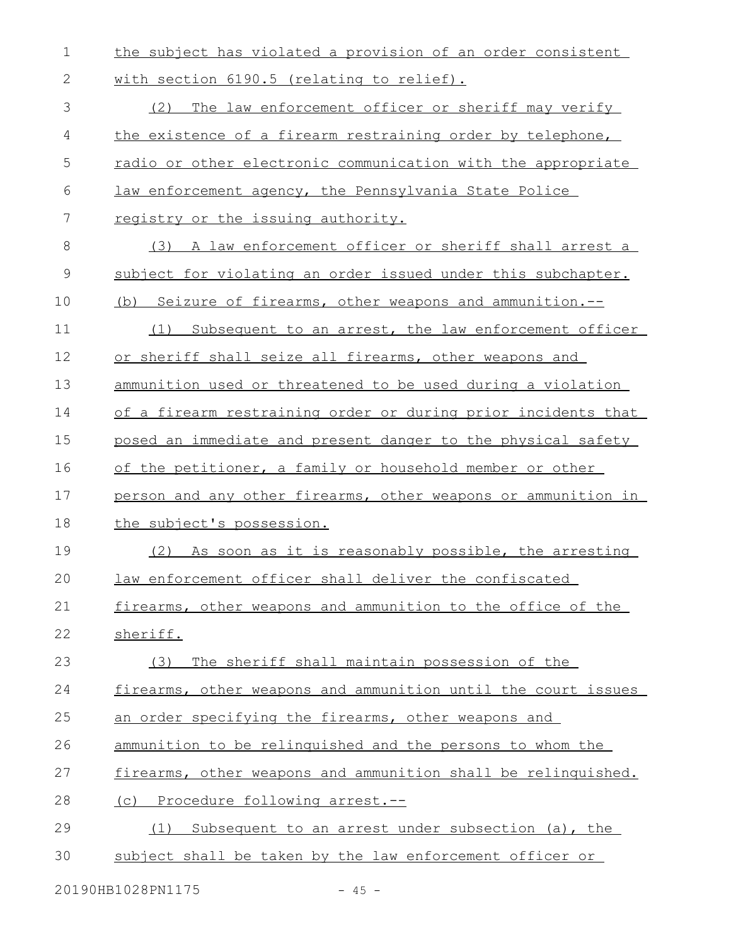the subject has violated a provision of an order consistent with section 6190.5 (relating to relief). 1 2

(2) The law enforcement officer or sheriff may verify the existence of a firearm restraining order by telephone, radio or other electronic communication with the appropriate law enforcement agency, the Pennsylvania State Police registry or the issuing authority. (3) A law enforcement officer or sheriff shall arrest a subject for violating an order issued under this subchapter. (b) Seizure of firearms, other weapons and ammunition.--(1) Subsequent to an arrest, the law enforcement officer or sheriff shall seize all firearms, other weapons and ammunition used or threatened to be used during a violation of a firearm restraining order or during prior incidents that posed an immediate and present danger to the physical safety of the petitioner, a family or household member or other person and any other firearms, other weapons or ammunition in the subject's possession. (2) As soon as it is reasonably possible, the arresting law enforcement officer shall deliver the confiscated firearms, other weapons and ammunition to the office of the sheriff. (3) The sheriff shall maintain possession of the firearms, other weapons and ammunition until the court issues an order specifying the firearms, other weapons and ammunition to be relinquished and the persons to whom the firearms, other weapons and ammunition shall be relinquished. (c) Procedure following arrest.-- (1) Subsequent to an arrest under subsection (a), the subject shall be taken by the law enforcement officer or 3 4 5 6 7 8 9 10 11 12 13 14 15 16 17 18 19 20 21 22 23 24 25 26 27 28 29 30

20190HB1028PN1175 - 45 -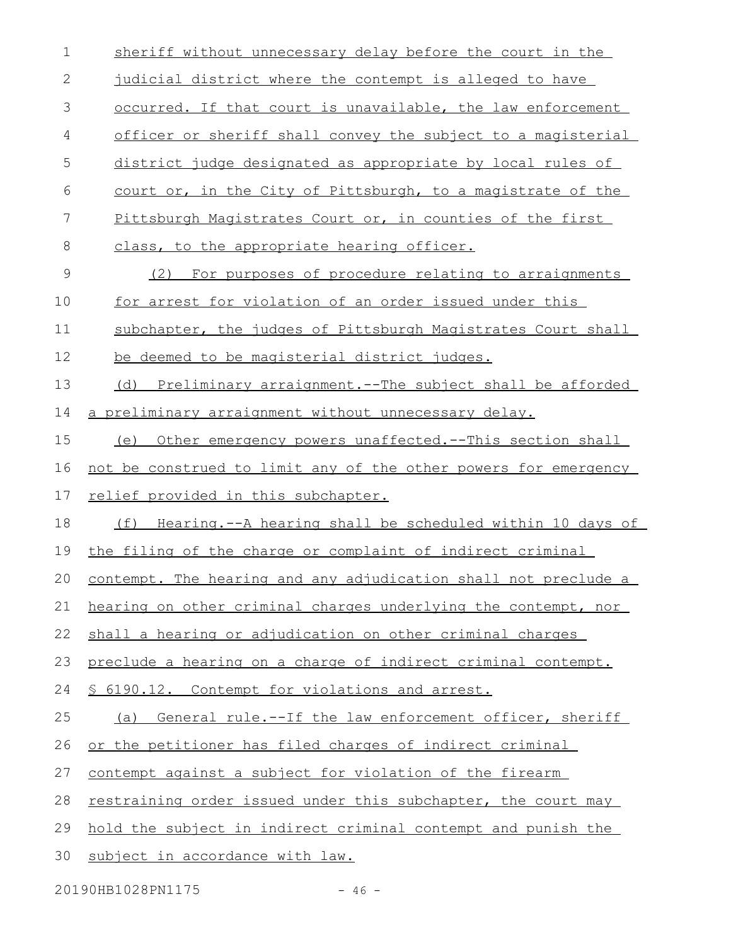| $\mathbf 1$  | sheriff without unnecessary delay before the court in the       |  |  |  |  |  |
|--------------|-----------------------------------------------------------------|--|--|--|--|--|
| $\mathbf{2}$ | judicial district where the contempt is alleged to have         |  |  |  |  |  |
| 3            | occurred. If that court is unavailable, the law enforcement     |  |  |  |  |  |
| 4            | officer or sheriff shall convey the subject to a magisterial    |  |  |  |  |  |
| 5            | district judge designated as appropriate by local rules of      |  |  |  |  |  |
| 6            | court or, in the City of Pittsburgh, to a magistrate of the     |  |  |  |  |  |
| 7            | Pittsburgh Magistrates Court or, in counties of the first       |  |  |  |  |  |
| 8            | class, to the appropriate hearing officer.                      |  |  |  |  |  |
| $\mathsf 9$  | (2) For purposes of procedure relating to arraignments          |  |  |  |  |  |
| 10           | for arrest for violation of an order issued under this          |  |  |  |  |  |
| 11           | subchapter, the judges of Pittsburgh Magistrates Court shall    |  |  |  |  |  |
| 12           | be deemed to be magisterial district judges.                    |  |  |  |  |  |
| 13           | (d) Preliminary arraignment.--The subject shall be afforded     |  |  |  |  |  |
| 14           | a preliminary arraignment without unnecessary delay.            |  |  |  |  |  |
| 15           | Other emergency powers unaffected.--This section shall<br>(e)   |  |  |  |  |  |
| 16           | not be construed to limit any of the other powers for emergency |  |  |  |  |  |
| 17           | relief provided in this subchapter.                             |  |  |  |  |  |
| 18           | (f)<br>Hearing.--A hearing shall be scheduled within 10 days of |  |  |  |  |  |
| 19           |                                                                 |  |  |  |  |  |
|              | the filing of the charge or complaint of indirect criminal      |  |  |  |  |  |
| 20           | contempt. The hearing and any adjudication shall not preclude a |  |  |  |  |  |
| 21           | hearing on other criminal charges underlying the contempt, nor  |  |  |  |  |  |
| 22           | shall a hearing or adjudication on other criminal charges       |  |  |  |  |  |
| 23           | preclude a hearing on a charge of indirect criminal contempt.   |  |  |  |  |  |
| 24           | § 6190.12. Contempt for violations and arrest.                  |  |  |  |  |  |
| 25           | General rule.--If the law enforcement officer, sheriff<br>(a)   |  |  |  |  |  |
| 26           | or the petitioner has filed charges of indirect criminal        |  |  |  |  |  |
| 27           | contempt against a subject for violation of the firearm         |  |  |  |  |  |
| 28           | restraining order issued under this subchapter, the court may   |  |  |  |  |  |
| 29           | hold the subject in indirect criminal contempt and punish the   |  |  |  |  |  |
| 30           | subject in accordance with law.                                 |  |  |  |  |  |

20190HB1028PN1175 - 46 -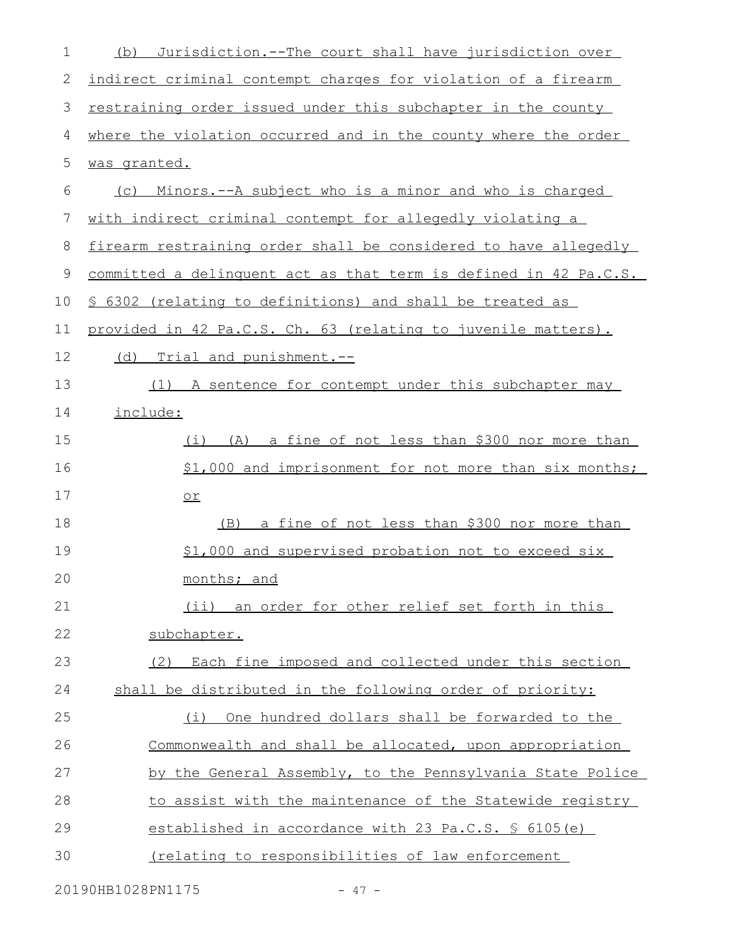| $\mathbf 1$ | Jurisdiction.--The court shall have jurisdiction over<br>(b)       |  |  |  |  |  |
|-------------|--------------------------------------------------------------------|--|--|--|--|--|
| 2           | indirect criminal contempt charges for violation of a firearm      |  |  |  |  |  |
| 3           | restraining order issued under this subchapter in the county       |  |  |  |  |  |
| 4           | where the violation occurred and in the county where the order     |  |  |  |  |  |
| 5           | was granted.                                                       |  |  |  |  |  |
| 6           | <u>Minors.--A subject who is a minor and who is charged</u><br>(C) |  |  |  |  |  |
| 7           | with indirect criminal contempt for allegedly violating a          |  |  |  |  |  |
| 8           | firearm restraining order shall be considered to have allegedly    |  |  |  |  |  |
| 9           | committed a delinquent act as that term is defined in 42 Pa.C.S.   |  |  |  |  |  |
| 10          | \$ 6302 (relating to definitions) and shall be treated as          |  |  |  |  |  |
| 11          | provided in 42 Pa.C.S. Ch. 63 (relating to juvenile matters).      |  |  |  |  |  |
| 12          | (d) Trial and punishment.--                                        |  |  |  |  |  |
| 13          | (1) A sentence for contempt under this subchapter may              |  |  |  |  |  |
| 14          | include:                                                           |  |  |  |  |  |
| 15          | (i) (A) a fine of not less than \$300 nor more than                |  |  |  |  |  |
| 16          | \$1,000 and imprisonment for not more than six months;             |  |  |  |  |  |
| 17          | $or$                                                               |  |  |  |  |  |
| 18          | a fine of not less than \$300 nor more than<br>(B)                 |  |  |  |  |  |
| 19          | \$1,000 and supervised probation not to exceed six                 |  |  |  |  |  |
| 20          | months; and                                                        |  |  |  |  |  |
| 21          | (ii) an order for other relief set forth in this                   |  |  |  |  |  |
| 22          | subchapter.                                                        |  |  |  |  |  |
| 23          | (2) Each fine imposed and collected under this section             |  |  |  |  |  |
| 24          | shall be distributed in the following order of priority:           |  |  |  |  |  |
| 25          | One hundred dollars shall be forwarded to the<br>(i)               |  |  |  |  |  |
| 26          | Commonwealth and shall be allocated, upon appropriation            |  |  |  |  |  |
| 27          | by the General Assembly, to the Pennsylvania State Police          |  |  |  |  |  |
| 28          | to assist with the maintenance of the Statewide registry           |  |  |  |  |  |
| 29          | established in accordance with 23 Pa.C.S. § 6105(e)                |  |  |  |  |  |
| 30          | <u>(relating to responsibilities of law enforcement</u>            |  |  |  |  |  |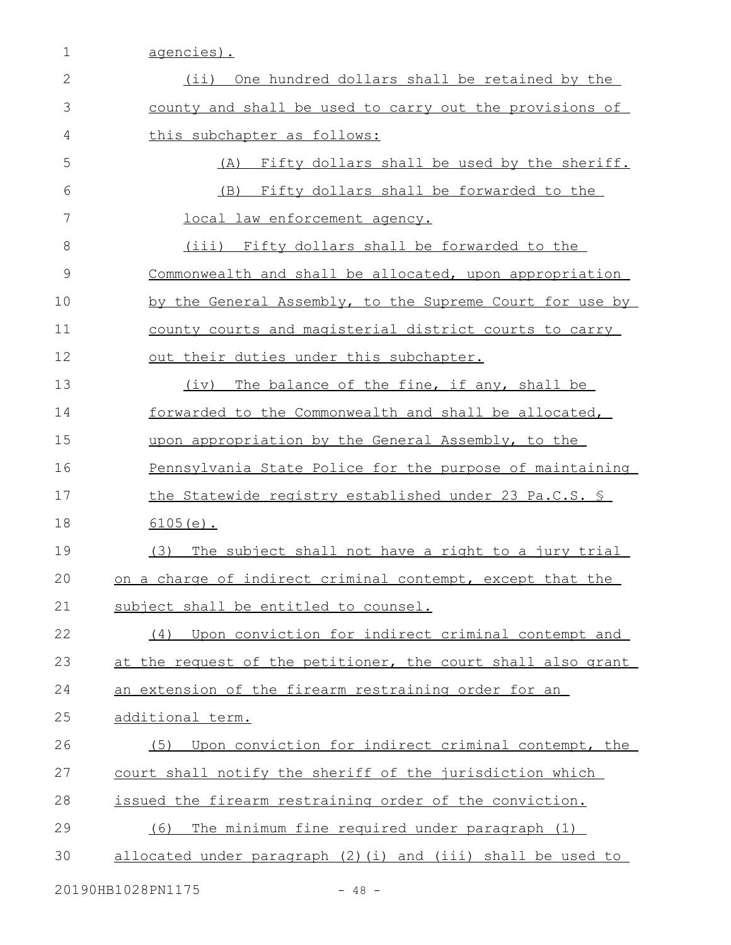1 agencies).

| 2  | (ii) One hundred dollars shall be retained by the            |  |  |  |  |  |
|----|--------------------------------------------------------------|--|--|--|--|--|
| 3  | county and shall be used to carry out the provisions of      |  |  |  |  |  |
| 4  | this subchapter as follows:                                  |  |  |  |  |  |
| 5  | Fifty dollars shall be used by the sheriff.<br>(A)           |  |  |  |  |  |
| 6  | (B) Fifty dollars shall be forwarded to the                  |  |  |  |  |  |
| 7  | local law enforcement agency.                                |  |  |  |  |  |
| 8  | (iii) Fifty dollars shall be forwarded to the                |  |  |  |  |  |
| 9  | Commonwealth and shall be allocated, upon appropriation      |  |  |  |  |  |
| 10 | by the General Assembly, to the Supreme Court for use by     |  |  |  |  |  |
| 11 | county courts and magisterial district courts to carry       |  |  |  |  |  |
| 12 | out their duties under this subchapter.                      |  |  |  |  |  |
| 13 | The balance of the fine, if any, shall be<br>(iv)            |  |  |  |  |  |
| 14 | forwarded to the Commonwealth and shall be allocated,        |  |  |  |  |  |
| 15 | upon appropriation by the General Assembly, to the           |  |  |  |  |  |
| 16 | Pennsylvania State Police for the purpose of maintaining     |  |  |  |  |  |
| 17 | <u>the Statewide registry established under 23 Pa.C.S. §</u> |  |  |  |  |  |
| 18 | $6105(e)$ .                                                  |  |  |  |  |  |
| 19 | The subject shall not have a right to a jury trial<br>(3)    |  |  |  |  |  |
| 20 | on a charge of indirect criminal contempt, except that the   |  |  |  |  |  |
| 21 | subject shall be entitled to counsel.                        |  |  |  |  |  |
| 22 | Upon conviction for indirect criminal contempt and<br>(4)    |  |  |  |  |  |
| 23 | at the request of the petitioner, the court shall also grant |  |  |  |  |  |
| 24 | an extension of the firearm restraining order for an         |  |  |  |  |  |
| 25 | additional term.                                             |  |  |  |  |  |
| 26 | Upon conviction for indirect criminal contempt, the<br>(5)   |  |  |  |  |  |
| 27 | court shall notify the sheriff of the jurisdiction which     |  |  |  |  |  |
| 28 | issued the firearm restraining order of the conviction.      |  |  |  |  |  |
| 29 | The minimum fine required under paragraph (1)<br>(6)         |  |  |  |  |  |
|    |                                                              |  |  |  |  |  |
| 30 | allocated under paragraph (2) (i) and (iii) shall be used to |  |  |  |  |  |

20190HB1028PN1175 - 48 -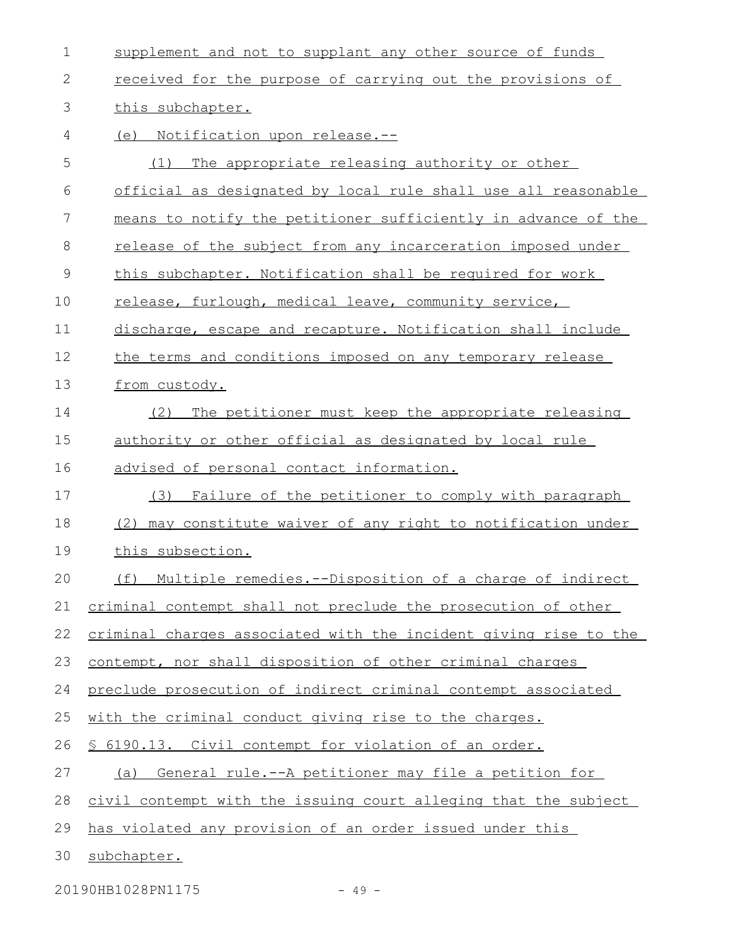| $\mathbf 1$   | supplement and not to supplant any other source of funds         |  |  |  |  |  |  |
|---------------|------------------------------------------------------------------|--|--|--|--|--|--|
| $\mathbf{2}$  | received for the purpose of carrying out the provisions of       |  |  |  |  |  |  |
| 3             | this subchapter.                                                 |  |  |  |  |  |  |
| 4             | Notification upon release.--<br>(e)                              |  |  |  |  |  |  |
| 5             | The appropriate releasing authority or other<br>(1)              |  |  |  |  |  |  |
| 6             | official as designated by local rule shall use all reasonable    |  |  |  |  |  |  |
| 7             | means to notify the petitioner sufficiently in advance of the    |  |  |  |  |  |  |
| 8             | release of the subject from any incarceration imposed under      |  |  |  |  |  |  |
| $\mathcal{G}$ | this subchapter. Notification shall be required for work         |  |  |  |  |  |  |
| 10            | release, furlough, medical leave, community service,             |  |  |  |  |  |  |
| 11            | discharge, escape and recapture. Notification shall include      |  |  |  |  |  |  |
| 12            | the terms and conditions imposed on any temporary release        |  |  |  |  |  |  |
| 13            | from custody.                                                    |  |  |  |  |  |  |
| 14            | The petitioner must keep the appropriate releasing<br>(2)        |  |  |  |  |  |  |
| 15            | authority or other official as designated by local rule          |  |  |  |  |  |  |
| 16            | advised of personal contact information.                         |  |  |  |  |  |  |
| 17            | Failure of the petitioner to comply with paragraph<br>(3)        |  |  |  |  |  |  |
| 18            | may constitute waiver of any right to notification under<br>(2)  |  |  |  |  |  |  |
| 19            | this subsection.                                                 |  |  |  |  |  |  |
| 20            | (f) Multiple remedies.--Disposition of a charge of indirect      |  |  |  |  |  |  |
| 21            | criminal contempt shall not preclude the prosecution of other    |  |  |  |  |  |  |
| 22            | criminal charges associated with the incident giving rise to the |  |  |  |  |  |  |
| 23            | contempt, nor shall disposition of other criminal charges        |  |  |  |  |  |  |
| 24            | preclude prosecution of indirect criminal contempt associated    |  |  |  |  |  |  |
| 25            | with the criminal conduct giving rise to the charges.            |  |  |  |  |  |  |
| 26            | <u>S 6190.13. Civil contempt for violation of an order.</u>      |  |  |  |  |  |  |
| 27            | General rule.--A petitioner may file a petition for<br>(a)       |  |  |  |  |  |  |
| 28            | civil contempt with the issuing court alleging that the subject  |  |  |  |  |  |  |
| 29            | has violated any provision of an order issued under this         |  |  |  |  |  |  |
| 30            | subchapter.                                                      |  |  |  |  |  |  |
|               |                                                                  |  |  |  |  |  |  |

20190HB1028PN1175 - 49 -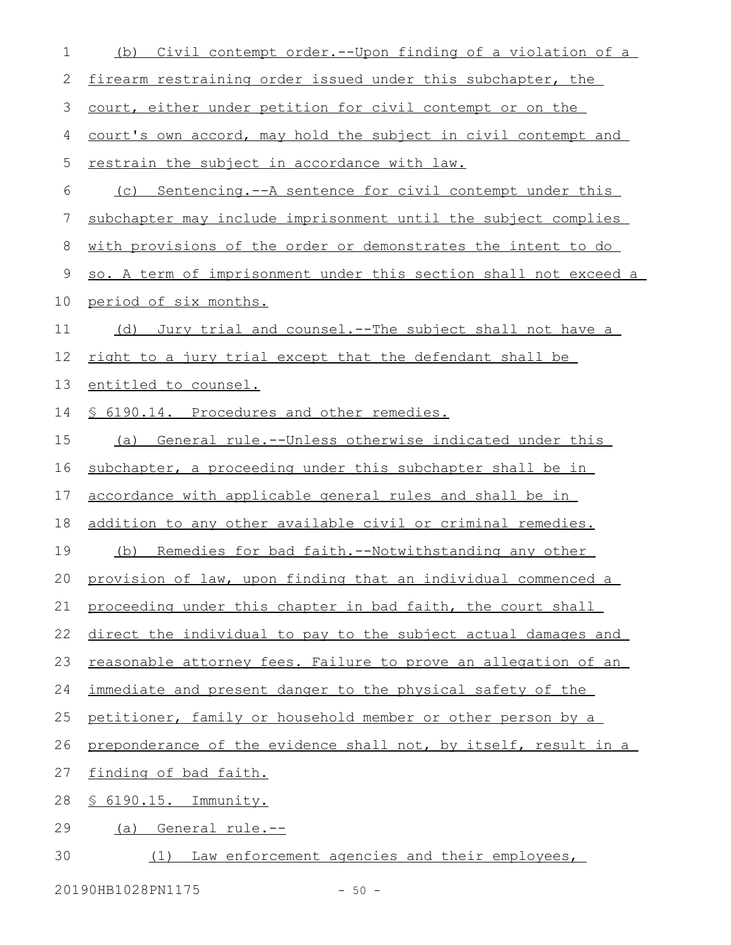| 1  | Civil contempt order.--Upon finding of a violation of a<br>(b)   |  |  |  |  |  |  |
|----|------------------------------------------------------------------|--|--|--|--|--|--|
| 2  | firearm restraining order issued under this subchapter, the      |  |  |  |  |  |  |
| 3  | court, either under petition for civil contempt or on the        |  |  |  |  |  |  |
| 4  | court's own accord, may hold the subject in civil contempt and   |  |  |  |  |  |  |
| 5  | restrain the subject in accordance with law.                     |  |  |  |  |  |  |
| 6  | (c) Sentencing.--A sentence for civil contempt under this        |  |  |  |  |  |  |
| 7  | subchapter may include imprisonment until the subject complies   |  |  |  |  |  |  |
| 8  | with provisions of the order or demonstrates the intent to do    |  |  |  |  |  |  |
| 9  | so. A term of imprisonment under this section shall not exceed a |  |  |  |  |  |  |
| 10 | period of six months.                                            |  |  |  |  |  |  |
| 11 | Jury trial and counsel.--The subject shall not have a<br>(d)     |  |  |  |  |  |  |
| 12 | right to a jury trial except that the defendant shall be         |  |  |  |  |  |  |
| 13 | entitled to counsel.                                             |  |  |  |  |  |  |
| 14 | § 6190.14. Procedures and other remedies.                        |  |  |  |  |  |  |
| 15 | (a) General rule.--Unless otherwise indicated under this         |  |  |  |  |  |  |
| 16 | subchapter, a proceeding under this subchapter shall be in       |  |  |  |  |  |  |
| 17 | accordance with applicable general rules and shall be in         |  |  |  |  |  |  |
| 18 | addition to any other available civil or criminal remedies.      |  |  |  |  |  |  |
| 19 | (b) Remedies for bad faith.--Notwithstanding any other           |  |  |  |  |  |  |
|    | 20 provision of law, upon finding that an individual commenced a |  |  |  |  |  |  |
| 21 | proceeding under this chapter in bad faith, the court shall      |  |  |  |  |  |  |
| 22 | direct the individual to pay to the subject actual damages and   |  |  |  |  |  |  |
| 23 | reasonable attorney fees. Failure to prove an allegation of an   |  |  |  |  |  |  |
| 24 | immediate and present danger to the physical safety of the       |  |  |  |  |  |  |
| 25 | petitioner, family or household member or other person by a      |  |  |  |  |  |  |
| 26 | preponderance of the evidence shall not, by itself, result in a  |  |  |  |  |  |  |
| 27 | finding of bad faith.                                            |  |  |  |  |  |  |
| 28 | $$6190.15.$ Immunity.                                            |  |  |  |  |  |  |
| 29 | (a) General rule.--                                              |  |  |  |  |  |  |
| 30 | Law enforcement agencies and their employees,<br>(1)             |  |  |  |  |  |  |

20190HB1028PN1175 - 50 -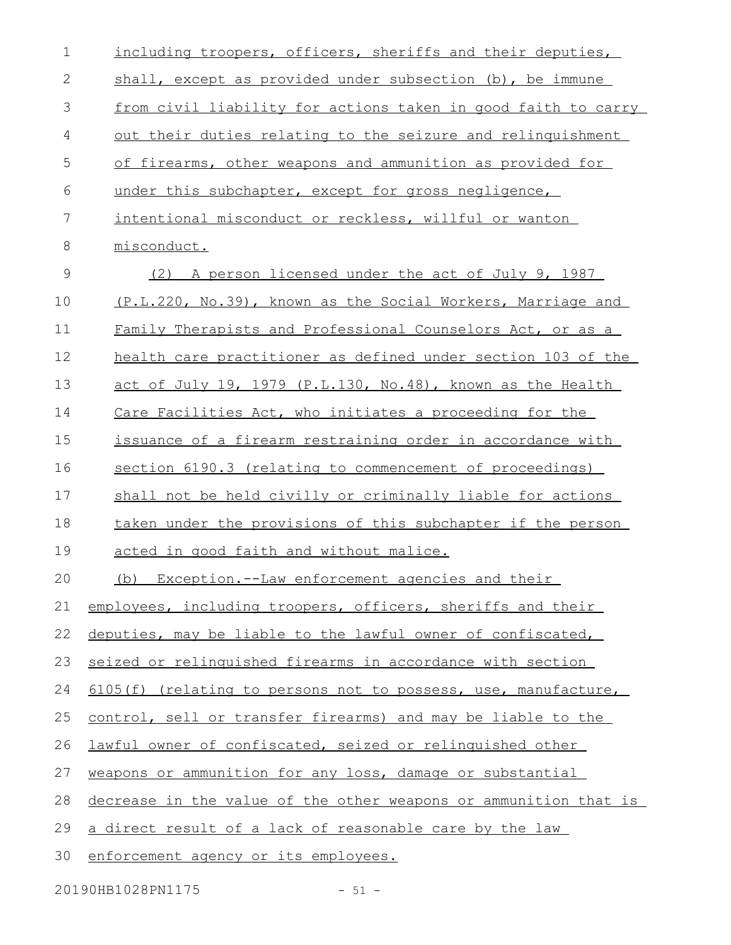| $\mathbf 1$  | including troopers, officers, sheriffs and their deputies,       |
|--------------|------------------------------------------------------------------|
| $\mathbf{2}$ | shall, except as provided under subsection (b), be immune        |
| 3            | from civil liability for actions taken in good faith to carry    |
| 4            | out their duties relating to the seizure and relinguishment      |
| 5            | of firearms, other weapons and ammunition as provided for        |
| 6            | under this subchapter, except for gross negligence,              |
| 7            | intentional misconduct or reckless, willful or wanton            |
| 8            | misconduct.                                                      |
| 9            | A person licensed under the act of July 9, 1987<br>(2)           |
| 10           | (P.L.220, No.39), known as the Social Workers, Marriage and      |
| 11           | Family Therapists and Professional Counselors Act, or as a       |
| 12           | health care practitioner as defined under section 103 of the     |
| 13           | act of July 19, 1979 (P.L.130, No.48), known as the Health       |
| 14           | Care Facilities Act, who initiates a proceeding for the          |
| 15           | issuance of a firearm restraining order in accordance with       |
| 16           | section 6190.3 (relating to commencement of proceedings)         |
| 17           | shall not be held civilly or criminally liable for actions       |
| 18           | taken under the provisions of this subchapter if the person      |
| 19           | acted in good faith and without malice.                          |
| 20           | (b) Exception.--Law enforcement agencies and their               |
| 21           | employees, including troopers, officers, sheriffs and their      |
| 22           | deputies, may be liable to the lawful owner of confiscated,      |
| 23           | seized or relinguished firearms in accordance with section       |
| 24           | 6105(f) (relating to persons not to possess, use, manufacture,   |
| 25           | control, sell or transfer firearms) and may be liable to the     |
| 26           | lawful owner of confiscated, seized or relinquished other        |
| 27           | weapons or ammunition for any loss, damage or substantial        |
| 28           | decrease in the value of the other weapons or ammunition that is |
| 29           | a direct result of a lack of reasonable care by the law          |
| 30           | enforcement agency or its employees.                             |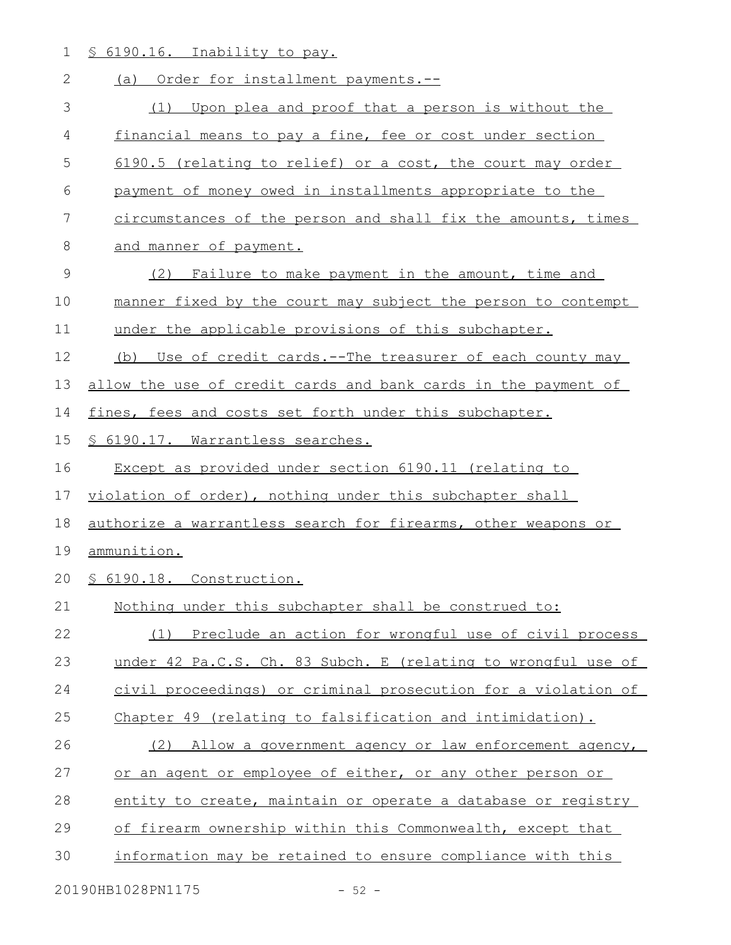1 § 6190.16. Inability to pay.

| $\overline{2}$ | (a) Order for installment payments.--                          |  |  |  |  |  |  |
|----------------|----------------------------------------------------------------|--|--|--|--|--|--|
| 3              | Upon plea and proof that a person is without the<br>(1)        |  |  |  |  |  |  |
| 4              | financial means to pay a fine, fee or cost under section       |  |  |  |  |  |  |
| 5              | 6190.5 (relating to relief) or a cost, the court may order     |  |  |  |  |  |  |
| 6              | payment of money owed in installments appropriate to the       |  |  |  |  |  |  |
| 7              | circumstances of the person and shall fix the amounts, times   |  |  |  |  |  |  |
| $8\,$          | and manner of payment.                                         |  |  |  |  |  |  |
| 9              | (2) Failure to make payment in the amount, time and            |  |  |  |  |  |  |
| 10             | manner fixed by the court may subject the person to contempt   |  |  |  |  |  |  |
| 11             | under the applicable provisions of this subchapter.            |  |  |  |  |  |  |
| 12             | (b) Use of credit cards.--The treasurer of each county may     |  |  |  |  |  |  |
| 13             | allow the use of credit cards and bank cards in the payment of |  |  |  |  |  |  |
| 14             | fines, fees and costs set forth under this subchapter.         |  |  |  |  |  |  |
| 15             | § 6190.17. Warrantless searches.                               |  |  |  |  |  |  |
| 16             | Except as provided under section 6190.11 (relating to          |  |  |  |  |  |  |
| 17             | violation of order), nothing under this subchapter shall       |  |  |  |  |  |  |
| 18             | authorize a warrantless search for firearms, other weapons or  |  |  |  |  |  |  |
| 19             | ammunition.                                                    |  |  |  |  |  |  |
| 20             | § 6190.18. Construction.                                       |  |  |  |  |  |  |
| 21             | Nothing under this subchapter shall be construed to:           |  |  |  |  |  |  |
| 22             | (1) Preclude an action for wrongful use of civil process       |  |  |  |  |  |  |
| 23             | under 42 Pa.C.S. Ch. 83 Subch. E (relating to wrongful use of  |  |  |  |  |  |  |
| 24             | civil proceedings) or criminal prosecution for a violation of  |  |  |  |  |  |  |
| 25             | Chapter 49 (relating to falsification and intimidation).       |  |  |  |  |  |  |
| 26             | (2) Allow a government agency or law enforcement agency,       |  |  |  |  |  |  |
| 27             | or an agent or employee of either, or any other person or      |  |  |  |  |  |  |
| 28             | entity to create, maintain or operate a database or registry   |  |  |  |  |  |  |
| 29             | of firearm ownership within this Commonwealth, except that     |  |  |  |  |  |  |
| 30             | information may be retained to ensure compliance with this     |  |  |  |  |  |  |
|                |                                                                |  |  |  |  |  |  |

20190HB1028PN1175 - 52 -